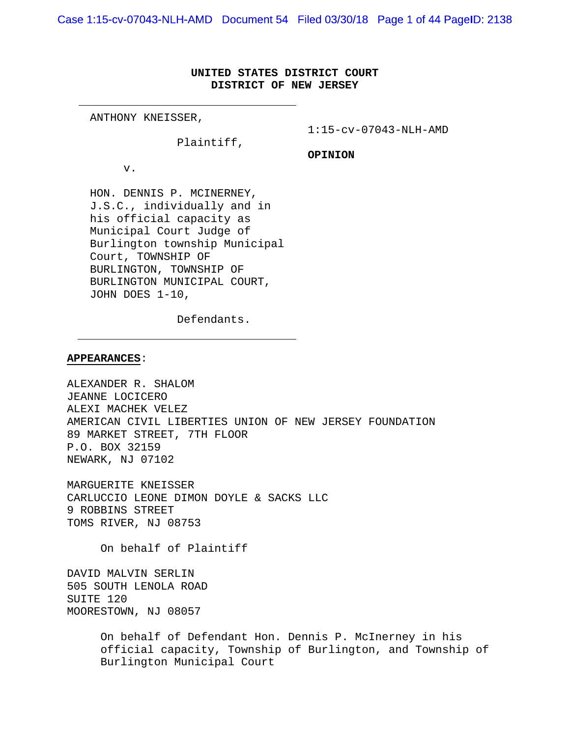Case 1:15-cv-07043-NLH-AMD Document 54 Filed 03/30/18 Page 1 of 44 PageID: 2138

# **UNITED STATES DISTRICT COURT DISTRICT OF NEW JERSEY**

ANTHONY KNEISSER,

1:15-cv-07043-NLH-AMD

Plaintiff,

**OPINION**

v.

HON. DENNIS P. MCINERNEY, J.S.C., individually and in his official capacity as Municipal Court Judge of Burlington township Municipal Court, TOWNSHIP OF BURLINGTON, TOWNSHIP OF BURLINGTON MUNICIPAL COURT, JOHN DOES 1-10,

Defendants.

#### **APPEARANCES**:

ALEXANDER R. SHALOM JEANNE LOCICERO ALEXI MACHEK VELEZ AMERICAN CIVIL LIBERTIES UNION OF NEW JERSEY FOUNDATION 89 MARKET STREET, 7TH FLOOR P.O. BOX 32159 NEWARK, NJ 07102

MARGUERITE KNEISSER CARLUCCIO LEONE DIMON DOYLE & SACKS LLC 9 ROBBINS STREET TOMS RIVER, NJ 08753

On behalf of Plaintiff

DAVID MALVIN SERLIN 505 SOUTH LENOLA ROAD SUITE 120 MOORESTOWN, NJ 08057

> On behalf of Defendant Hon. Dennis P. McInerney in his official capacity, Township of Burlington, and Township of Burlington Municipal Court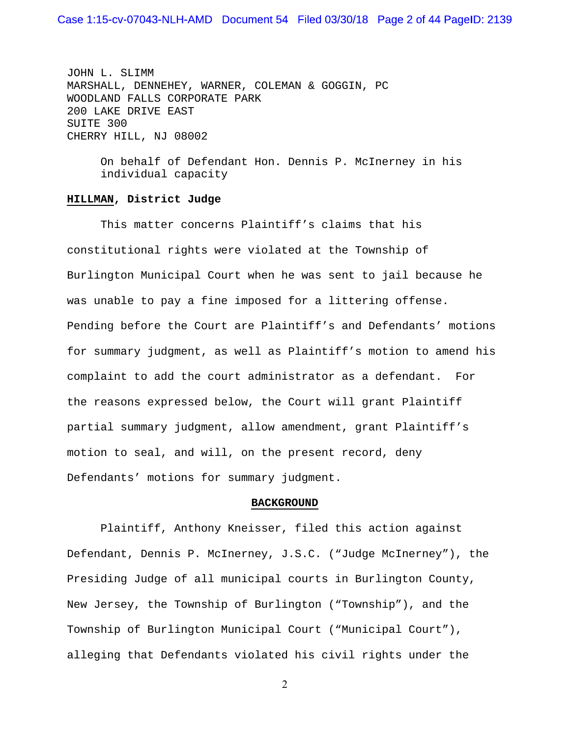JOHN L. SLIMM MARSHALL, DENNEHEY, WARNER, COLEMAN & GOGGIN, PC WOODLAND FALLS CORPORATE PARK 200 LAKE DRIVE EAST SUITE 300 CHERRY HILL, NJ 08002

> On behalf of Defendant Hon. Dennis P. McInerney in his individual capacity

## **HILLMAN, District Judge**

 This matter concerns Plaintiff's claims that his constitutional rights were violated at the Township of Burlington Municipal Court when he was sent to jail because he was unable to pay a fine imposed for a littering offense. Pending before the Court are Plaintiff's and Defendants' motions for summary judgment, as well as Plaintiff's motion to amend his complaint to add the court administrator as a defendant. For the reasons expressed below, the Court will grant Plaintiff partial summary judgment, allow amendment, grant Plaintiff's motion to seal, and will, on the present record, deny Defendants' motions for summary judgment.

#### **BACKGROUND**

 Plaintiff, Anthony Kneisser, filed this action against Defendant, Dennis P. McInerney, J.S.C. ("Judge McInerney"), the Presiding Judge of all municipal courts in Burlington County, New Jersey, the Township of Burlington ("Township"), and the Township of Burlington Municipal Court ("Municipal Court"), alleging that Defendants violated his civil rights under the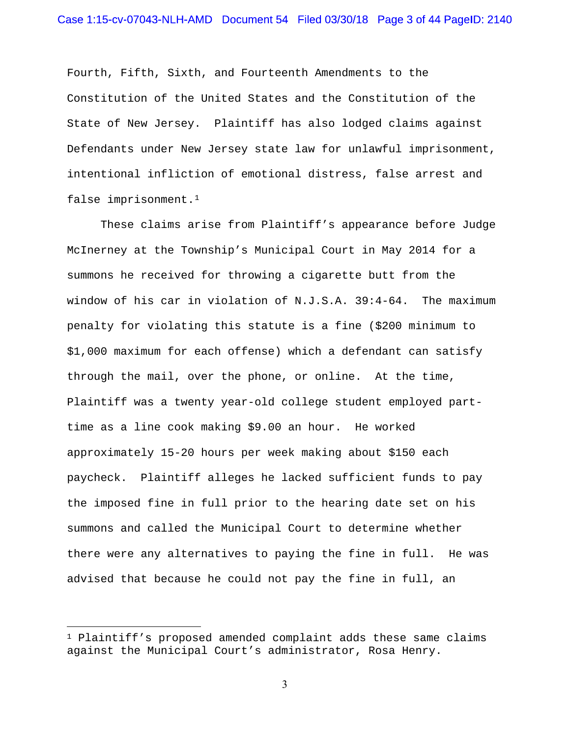Fourth, Fifth, Sixth, and Fourteenth Amendments to the Constitution of the United States and the Constitution of the State of New Jersey. Plaintiff has also lodged claims against Defendants under New Jersey state law for unlawful imprisonment, intentional infliction of emotional distress, false arrest and false imprisonment.1

 These claims arise from Plaintiff's appearance before Judge McInerney at the Township's Municipal Court in May 2014 for a summons he received for throwing a cigarette butt from the window of his car in violation of N.J.S.A. 39:4-64. The maximum penalty for violating this statute is a fine (\$200 minimum to \$1,000 maximum for each offense) which a defendant can satisfy through the mail, over the phone, or online. At the time, Plaintiff was a twenty year-old college student employed parttime as a line cook making \$9.00 an hour. He worked approximately 15-20 hours per week making about \$150 each paycheck. Plaintiff alleges he lacked sufficient funds to pay the imposed fine in full prior to the hearing date set on his summons and called the Municipal Court to determine whether there were any alternatives to paying the fine in full. He was advised that because he could not pay the fine in full, an

 $\overline{a}$ 

 $1$  Plaintiff's proposed amended complaint adds these same claims against the Municipal Court's administrator, Rosa Henry.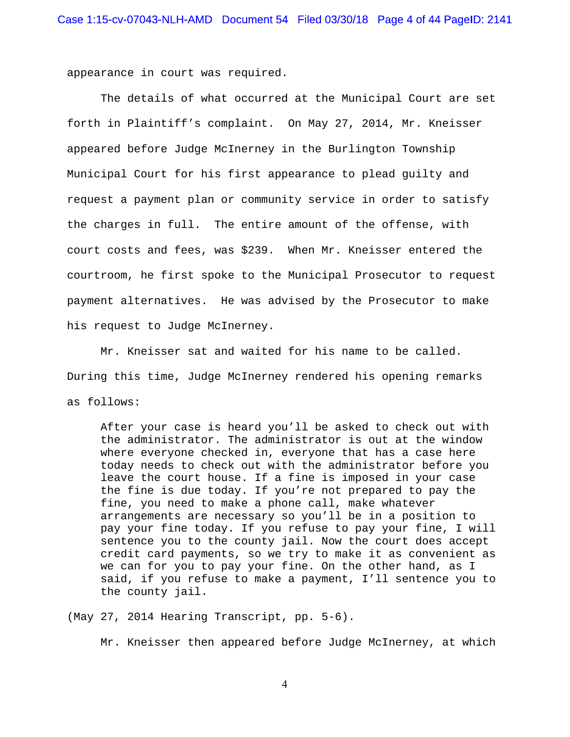appearance in court was required.

 The details of what occurred at the Municipal Court are set forth in Plaintiff's complaint. On May 27, 2014, Mr. Kneisser appeared before Judge McInerney in the Burlington Township Municipal Court for his first appearance to plead guilty and request a payment plan or community service in order to satisfy the charges in full. The entire amount of the offense, with court costs and fees, was \$239. When Mr. Kneisser entered the courtroom, he first spoke to the Municipal Prosecutor to request payment alternatives. He was advised by the Prosecutor to make his request to Judge McInerney.

 Mr. Kneisser sat and waited for his name to be called. During this time, Judge McInerney rendered his opening remarks as follows:

After your case is heard you'll be asked to check out with the administrator. The administrator is out at the window where everyone checked in, everyone that has a case here today needs to check out with the administrator before you leave the court house. If a fine is imposed in your case the fine is due today. If you're not prepared to pay the fine, you need to make a phone call, make whatever arrangements are necessary so you'll be in a position to pay your fine today. If you refuse to pay your fine, I will sentence you to the county jail. Now the court does accept credit card payments, so we try to make it as convenient as we can for you to pay your fine. On the other hand, as I said, if you refuse to make a payment, I'll sentence you to the county jail.

(May 27, 2014 Hearing Transcript, pp. 5-6).

Mr. Kneisser then appeared before Judge McInerney, at which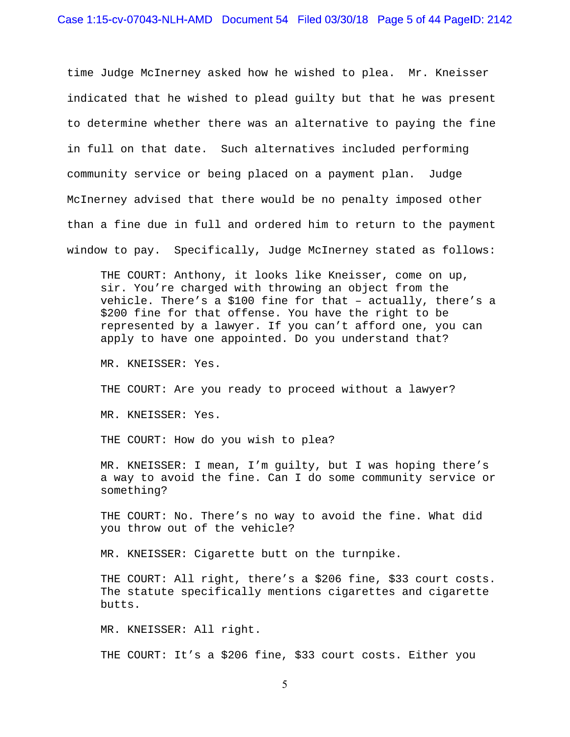time Judge McInerney asked how he wished to plea. Mr. Kneisser indicated that he wished to plead guilty but that he was present to determine whether there was an alternative to paying the fine in full on that date. Such alternatives included performing community service or being placed on a payment plan. Judge McInerney advised that there would be no penalty imposed other than a fine due in full and ordered him to return to the payment window to pay. Specifically, Judge McInerney stated as follows:

THE COURT: Anthony, it looks like Kneisser, come on up, sir. You're charged with throwing an object from the vehicle. There's a \$100 fine for that – actually, there's a \$200 fine for that offense. You have the right to be represented by a lawyer. If you can't afford one, you can apply to have one appointed. Do you understand that?

MR. KNEISSER: Yes.

THE COURT: Are you ready to proceed without a lawyer?

MR. KNEISSER: Yes.

THE COURT: How do you wish to plea?

MR. KNEISSER: I mean, I'm guilty, but I was hoping there's a way to avoid the fine. Can I do some community service or something?

THE COURT: No. There's no way to avoid the fine. What did you throw out of the vehicle?

MR. KNEISSER: Cigarette butt on the turnpike.

THE COURT: All right, there's a \$206 fine, \$33 court costs. The statute specifically mentions cigarettes and cigarette butts.

MR. KNEISSER: All right.

THE COURT: It's a \$206 fine, \$33 court costs. Either you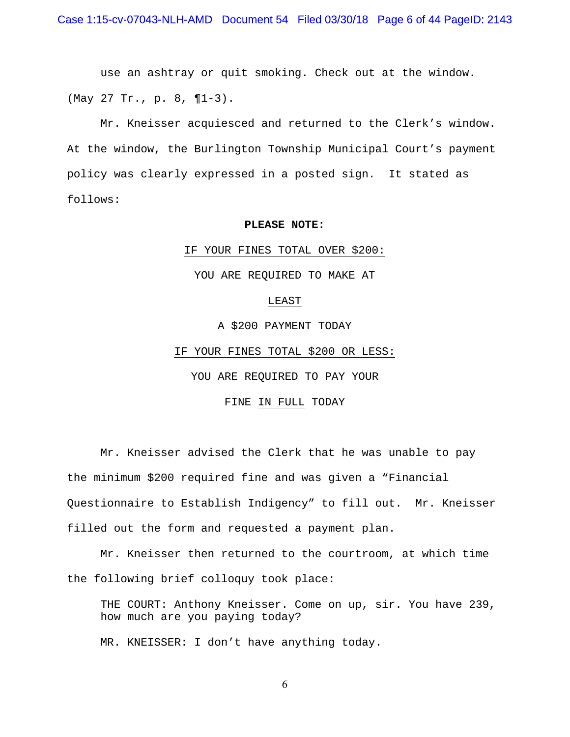use an ashtray or quit smoking. Check out at the window. (May 27 Tr., p. 8, ¶1-3).

 Mr. Kneisser acquiesced and returned to the Clerk's window. At the window, the Burlington Township Municipal Court's payment policy was clearly expressed in a posted sign. It stated as follows:

## **PLEASE NOTE:**

#### IF YOUR FINES TOTAL OVER \$200:

YOU ARE REQUIRED TO MAKE AT

#### LEAST

A \$200 PAYMENT TODAY

IF YOUR FINES TOTAL \$200 OR LESS:

YOU ARE REQUIRED TO PAY YOUR

# FINE IN FULL TODAY

Mr. Kneisser advised the Clerk that he was unable to pay the minimum \$200 required fine and was given a "Financial Questionnaire to Establish Indigency" to fill out. Mr. Kneisser filled out the form and requested a payment plan.

 Mr. Kneisser then returned to the courtroom, at which time the following brief colloquy took place:

THE COURT: Anthony Kneisser. Come on up, sir. You have 239, how much are you paying today?

MR. KNEISSER: I don't have anything today.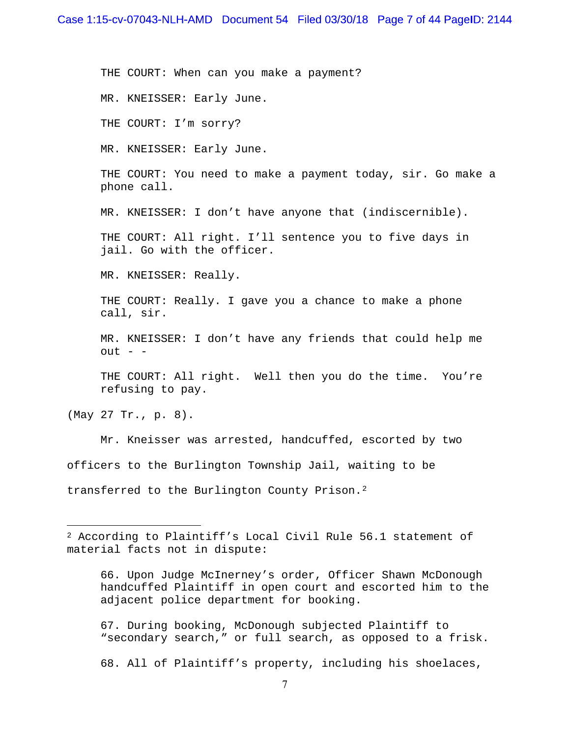THE COURT: When can you make a payment?

MR. KNEISSER: Early June.

THE COURT: I'm sorry?

MR. KNEISSER: Early June.

THE COURT: You need to make a payment today, sir. Go make a phone call.

MR. KNEISSER: I don't have anyone that (indiscernible).

THE COURT: All right. I'll sentence you to five days in jail. Go with the officer.

MR. KNEISSER: Really.

THE COURT: Really. I gave you a chance to make a phone call, sir.

MR. KNEISSER: I don't have any friends that could help me  $out - -$ 

THE COURT: All right. Well then you do the time. You're refusing to pay.

(May 27 Tr., p. 8).

 $\overline{a}$ 

Mr. Kneisser was arrested, handcuffed, escorted by two officers to the Burlington Township Jail, waiting to be transferred to the Burlington County Prison.2

66. Upon Judge McInerney's order, Officer Shawn McDonough handcuffed Plaintiff in open court and escorted him to the adjacent police department for booking.

67. During booking, McDonough subjected Plaintiff to "secondary search," or full search, as opposed to a frisk.

68. All of Plaintiff's property, including his shoelaces,

<sup>2</sup> According to Plaintiff's Local Civil Rule 56.1 statement of material facts not in dispute: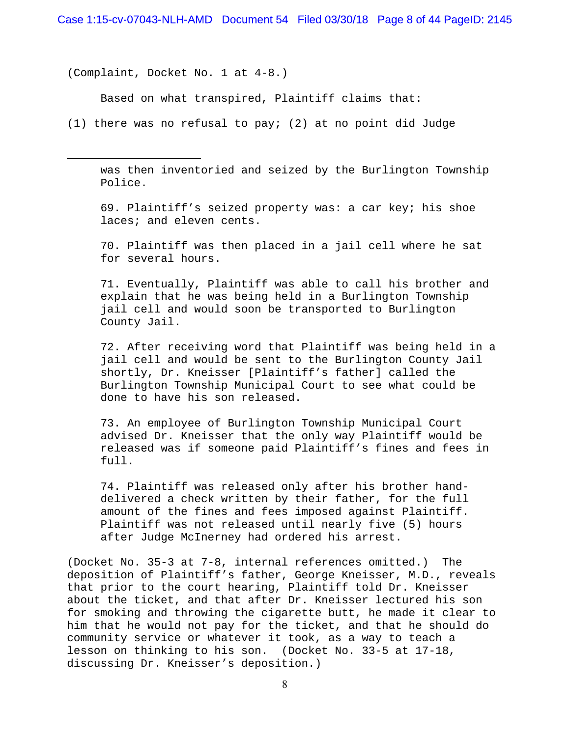(Complaint, Docket No. 1 at 4-8.)

 $\overline{a}$ 

Based on what transpired, Plaintiff claims that:

(1) there was no refusal to pay; (2) at no point did Judge

was then inventoried and seized by the Burlington Township Police.

69. Plaintiff's seized property was: a car key; his shoe laces; and eleven cents.

70. Plaintiff was then placed in a jail cell where he sat for several hours.

71. Eventually, Plaintiff was able to call his brother and explain that he was being held in a Burlington Township jail cell and would soon be transported to Burlington County Jail.

72. After receiving word that Plaintiff was being held in a jail cell and would be sent to the Burlington County Jail shortly, Dr. Kneisser [Plaintiff's father] called the Burlington Township Municipal Court to see what could be done to have his son released.

73. An employee of Burlington Township Municipal Court advised Dr. Kneisser that the only way Plaintiff would be released was if someone paid Plaintiff's fines and fees in full.

74. Plaintiff was released only after his brother handdelivered a check written by their father, for the full amount of the fines and fees imposed against Plaintiff. Plaintiff was not released until nearly five (5) hours after Judge McInerney had ordered his arrest.

(Docket No. 35-3 at 7-8, internal references omitted.) The deposition of Plaintiff's father, George Kneisser, M.D., reveals that prior to the court hearing, Plaintiff told Dr. Kneisser about the ticket, and that after Dr. Kneisser lectured his son for smoking and throwing the cigarette butt, he made it clear to him that he would not pay for the ticket, and that he should do community service or whatever it took, as a way to teach a lesson on thinking to his son. (Docket No. 33-5 at 17-18, discussing Dr. Kneisser's deposition.)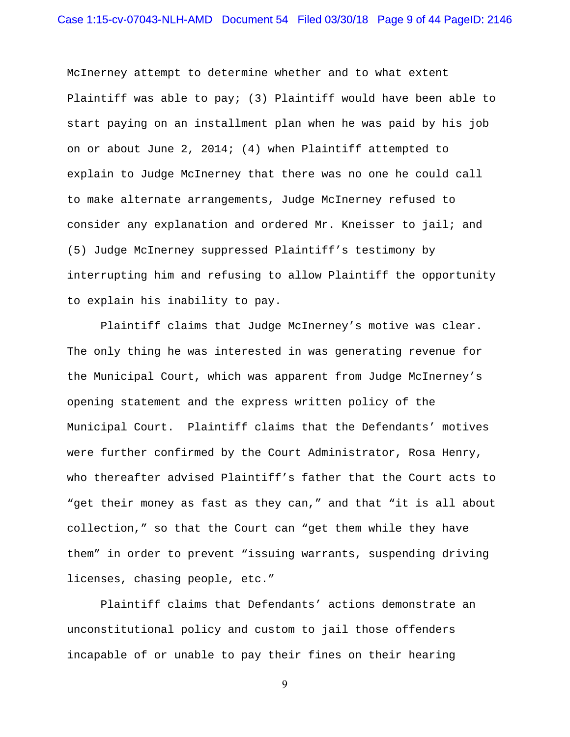McInerney attempt to determine whether and to what extent Plaintiff was able to pay; (3) Plaintiff would have been able to start paying on an installment plan when he was paid by his job on or about June 2, 2014; (4) when Plaintiff attempted to explain to Judge McInerney that there was no one he could call to make alternate arrangements, Judge McInerney refused to consider any explanation and ordered Mr. Kneisser to jail; and (5) Judge McInerney suppressed Plaintiff's testimony by interrupting him and refusing to allow Plaintiff the opportunity to explain his inability to pay.

 Plaintiff claims that Judge McInerney's motive was clear. The only thing he was interested in was generating revenue for the Municipal Court, which was apparent from Judge McInerney's opening statement and the express written policy of the Municipal Court. Plaintiff claims that the Defendants' motives were further confirmed by the Court Administrator, Rosa Henry, who thereafter advised Plaintiff's father that the Court acts to "get their money as fast as they can," and that "it is all about collection," so that the Court can "get them while they have them" in order to prevent "issuing warrants, suspending driving licenses, chasing people, etc."

 Plaintiff claims that Defendants' actions demonstrate an unconstitutional policy and custom to jail those offenders incapable of or unable to pay their fines on their hearing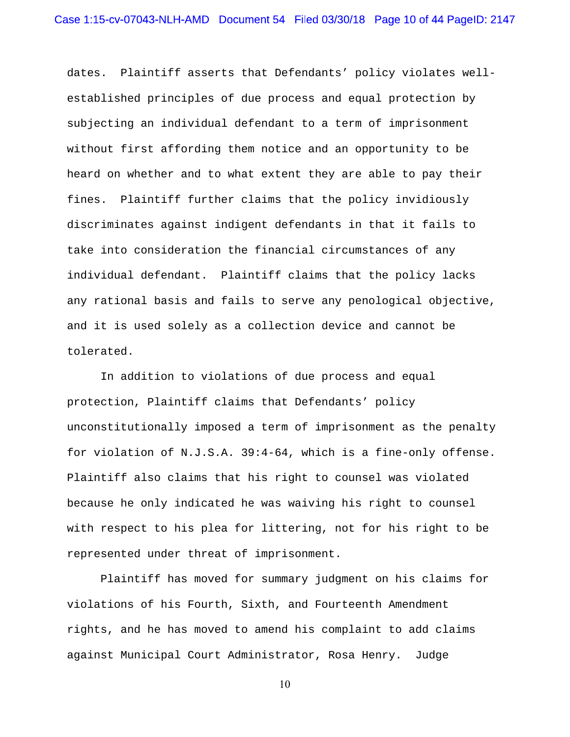dates. Plaintiff asserts that Defendants' policy violates wellestablished principles of due process and equal protection by subjecting an individual defendant to a term of imprisonment without first affording them notice and an opportunity to be heard on whether and to what extent they are able to pay their fines. Plaintiff further claims that the policy invidiously discriminates against indigent defendants in that it fails to take into consideration the financial circumstances of any individual defendant. Plaintiff claims that the policy lacks any rational basis and fails to serve any penological objective, and it is used solely as a collection device and cannot be tolerated.

 In addition to violations of due process and equal protection, Plaintiff claims that Defendants' policy unconstitutionally imposed a term of imprisonment as the penalty for violation of N.J.S.A. 39:4-64, which is a fine-only offense. Plaintiff also claims that his right to counsel was violated because he only indicated he was waiving his right to counsel with respect to his plea for littering, not for his right to be represented under threat of imprisonment.

 Plaintiff has moved for summary judgment on his claims for violations of his Fourth, Sixth, and Fourteenth Amendment rights, and he has moved to amend his complaint to add claims against Municipal Court Administrator, Rosa Henry. Judge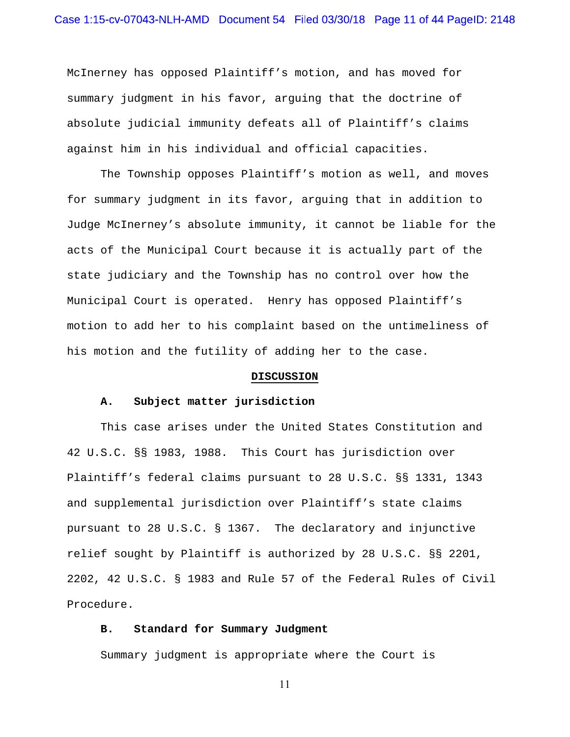McInerney has opposed Plaintiff's motion, and has moved for summary judgment in his favor, arguing that the doctrine of absolute judicial immunity defeats all of Plaintiff's claims against him in his individual and official capacities.

The Township opposes Plaintiff's motion as well, and moves for summary judgment in its favor, arguing that in addition to Judge McInerney's absolute immunity, it cannot be liable for the acts of the Municipal Court because it is actually part of the state judiciary and the Township has no control over how the Municipal Court is operated. Henry has opposed Plaintiff's motion to add her to his complaint based on the untimeliness of his motion and the futility of adding her to the case.

#### **DISCUSSION**

## **A. Subject matter jurisdiction**

 This case arises under the United States Constitution and 42 U.S.C. §§ 1983, 1988. This Court has jurisdiction over Plaintiff's federal claims pursuant to 28 U.S.C. §§ 1331, 1343 and supplemental jurisdiction over Plaintiff's state claims pursuant to 28 U.S.C. § 1367. The declaratory and injunctive relief sought by Plaintiff is authorized by 28 U.S.C. §§ 2201, 2202, 42 U.S.C. § 1983 and Rule 57 of the Federal Rules of Civil Procedure.

# **B. Standard for Summary Judgment**

Summary judgment is appropriate where the Court is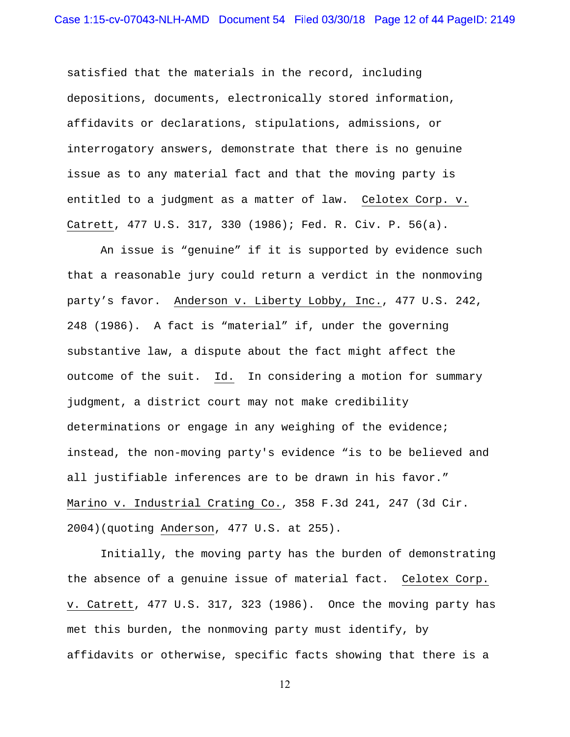satisfied that the materials in the record, including depositions, documents, electronically stored information, affidavits or declarations, stipulations, admissions, or interrogatory answers, demonstrate that there is no genuine issue as to any material fact and that the moving party is entitled to a judgment as a matter of law. Celotex Corp. v. Catrett, 477 U.S. 317, 330 (1986); Fed. R. Civ. P. 56(a).

An issue is "genuine" if it is supported by evidence such that a reasonable jury could return a verdict in the nonmoving party's favor. Anderson v. Liberty Lobby, Inc., 477 U.S. 242, 248 (1986). A fact is "material" if, under the governing substantive law, a dispute about the fact might affect the outcome of the suit. Id. In considering a motion for summary judgment, a district court may not make credibility determinations or engage in any weighing of the evidence; instead, the non-moving party's evidence "is to be believed and all justifiable inferences are to be drawn in his favor." Marino v. Industrial Crating Co., 358 F.3d 241, 247 (3d Cir. 2004)(quoting Anderson, 477 U.S. at 255).

Initially, the moving party has the burden of demonstrating the absence of a genuine issue of material fact. Celotex Corp. v. Catrett, 477 U.S. 317, 323 (1986). Once the moving party has met this burden, the nonmoving party must identify, by affidavits or otherwise, specific facts showing that there is a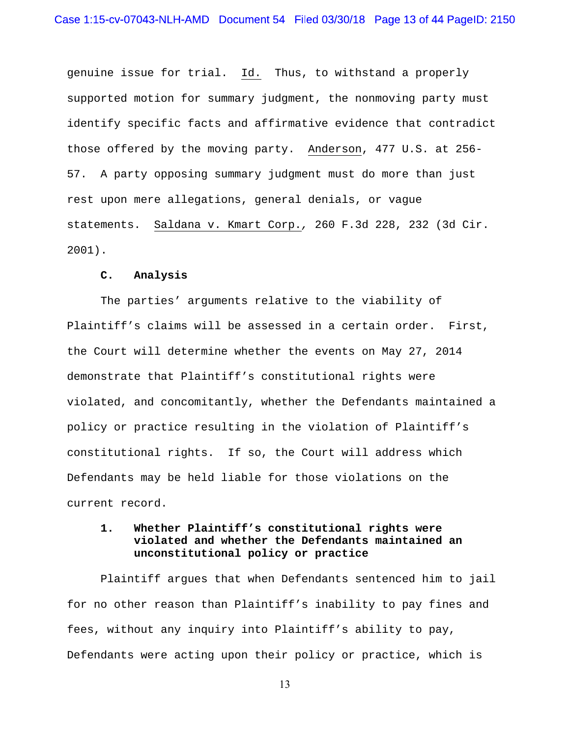genuine issue for trial. Id. Thus, to withstand a properly supported motion for summary judgment, the nonmoving party must identify specific facts and affirmative evidence that contradict those offered by the moving party. Anderson, 477 U.S. at 256- 57. A party opposing summary judgment must do more than just rest upon mere allegations, general denials, or vague statements. Saldana v. Kmart Corp.*,* 260 F.3d 228, 232 (3d Cir. 2001).

## **C. Analysis**

 The parties' arguments relative to the viability of Plaintiff's claims will be assessed in a certain order. First, the Court will determine whether the events on May 27, 2014 demonstrate that Plaintiff's constitutional rights were violated, and concomitantly, whether the Defendants maintained a policy or practice resulting in the violation of Plaintiff's constitutional rights. If so, the Court will address which Defendants may be held liable for those violations on the current record.

# **1. Whether Plaintiff's constitutional rights were violated and whether the Defendants maintained an unconstitutional policy or practice**

 Plaintiff argues that when Defendants sentenced him to jail for no other reason than Plaintiff's inability to pay fines and fees, without any inquiry into Plaintiff's ability to pay, Defendants were acting upon their policy or practice, which is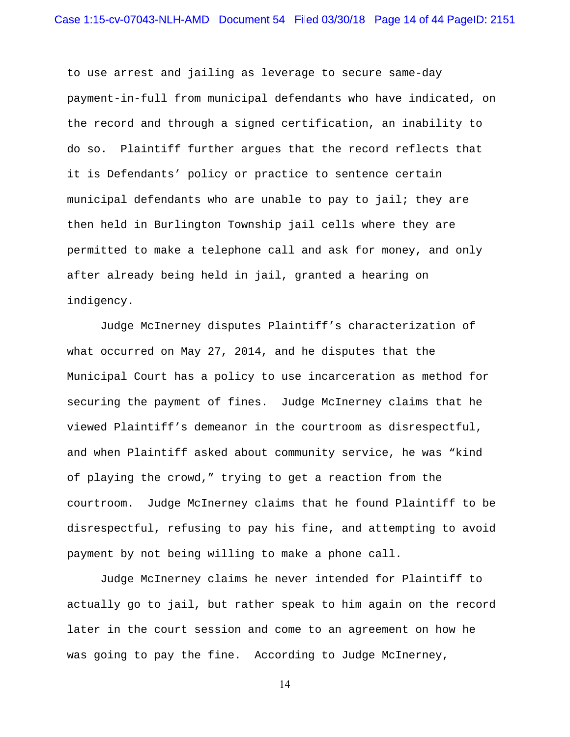to use arrest and jailing as leverage to secure same-day payment-in-full from municipal defendants who have indicated, on the record and through a signed certification, an inability to do so. Plaintiff further argues that the record reflects that it is Defendants' policy or practice to sentence certain municipal defendants who are unable to pay to jail; they are then held in Burlington Township jail cells where they are permitted to make a telephone call and ask for money, and only after already being held in jail, granted a hearing on indigency.

 Judge McInerney disputes Plaintiff's characterization of what occurred on May 27, 2014, and he disputes that the Municipal Court has a policy to use incarceration as method for securing the payment of fines. Judge McInerney claims that he viewed Plaintiff's demeanor in the courtroom as disrespectful, and when Plaintiff asked about community service, he was "kind of playing the crowd," trying to get a reaction from the courtroom. Judge McInerney claims that he found Plaintiff to be disrespectful, refusing to pay his fine, and attempting to avoid payment by not being willing to make a phone call.

 Judge McInerney claims he never intended for Plaintiff to actually go to jail, but rather speak to him again on the record later in the court session and come to an agreement on how he was going to pay the fine. According to Judge McInerney,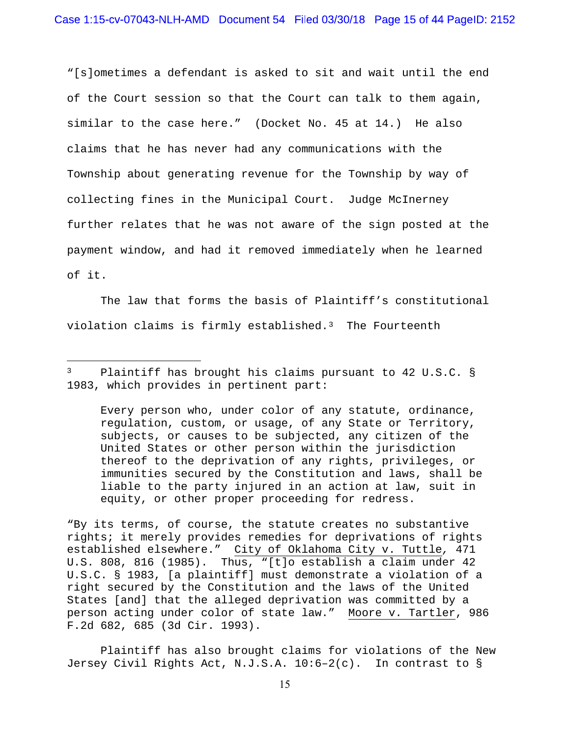"[s]ometimes a defendant is asked to sit and wait until the end of the Court session so that the Court can talk to them again, similar to the case here." (Docket No. 45 at 14.) He also claims that he has never had any communications with the Township about generating revenue for the Township by way of collecting fines in the Municipal Court. Judge McInerney further relates that he was not aware of the sign posted at the payment window, and had it removed immediately when he learned of it.

 The law that forms the basis of Plaintiff's constitutional violation claims is firmly established.<sup>3</sup> The Fourteenth

3 Plaintiff has brought his claims pursuant to 42 U.S.C. § 1983, which provides in pertinent part:

 $\overline{a}$ 

Every person who, under color of any statute, ordinance, regulation, custom, or usage, of any State or Territory, subjects, or causes to be subjected, any citizen of the United States or other person within the jurisdiction thereof to the deprivation of any rights, privileges, or immunities secured by the Constitution and laws, shall be liable to the party injured in an action at law, suit in equity, or other proper proceeding for redress.

"By its terms, of course, the statute creates no substantive rights; it merely provides remedies for deprivations of rights established elsewhere." City of Oklahoma City v. Tuttle*,* 471 U.S. 808, 816 (1985). Thus, "[t]o establish a claim under 42 U.S.C. § 1983, [a plaintiff] must demonstrate a violation of a right secured by the Constitution and the laws of the United States [and] that the alleged deprivation was committed by a person acting under color of state law." Moore v. Tartler, 986 F.2d 682, 685 (3d Cir. 1993).

 Plaintiff has also brought claims for violations of the New Jersey Civil Rights Act, N.J.S.A. 10:6–2(c). In contrast to §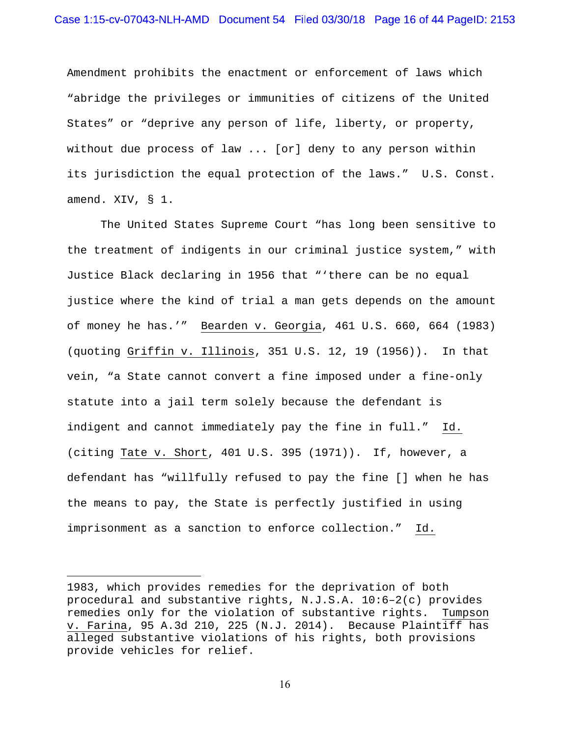Amendment prohibits the enactment or enforcement of laws which "abridge the privileges or immunities of citizens of the United States" or "deprive any person of life, liberty, or property, without due process of law ... [or] deny to any person within its jurisdiction the equal protection of the laws." U.S. Const. amend. XIV, § 1.

 The United States Supreme Court "has long been sensitive to the treatment of indigents in our criminal justice system," with Justice Black declaring in 1956 that "'there can be no equal justice where the kind of trial a man gets depends on the amount of money he has.'" Bearden v. Georgia, 461 U.S. 660, 664 (1983) (quoting Griffin v. Illinois, 351 U.S. 12, 19 (1956)). In that vein, "a State cannot convert a fine imposed under a fine-only statute into a jail term solely because the defendant is indigent and cannot immediately pay the fine in full." Id. (citing Tate v. Short, 401 U.S. 395 (1971)). If, however, a defendant has "willfully refused to pay the fine [] when he has the means to pay, the State is perfectly justified in using imprisonment as a sanction to enforce collection." Id.

 $\overline{a}$ 

<sup>1983,</sup> which provides remedies for the deprivation of both procedural and substantive rights, N.J.S.A. 10:6–2(c) provides remedies only for the violation of substantive rights. Tumpson v. Farina, 95 A.3d 210, 225 (N.J. 2014). Because Plaintiff has alleged substantive violations of his rights, both provisions provide vehicles for relief.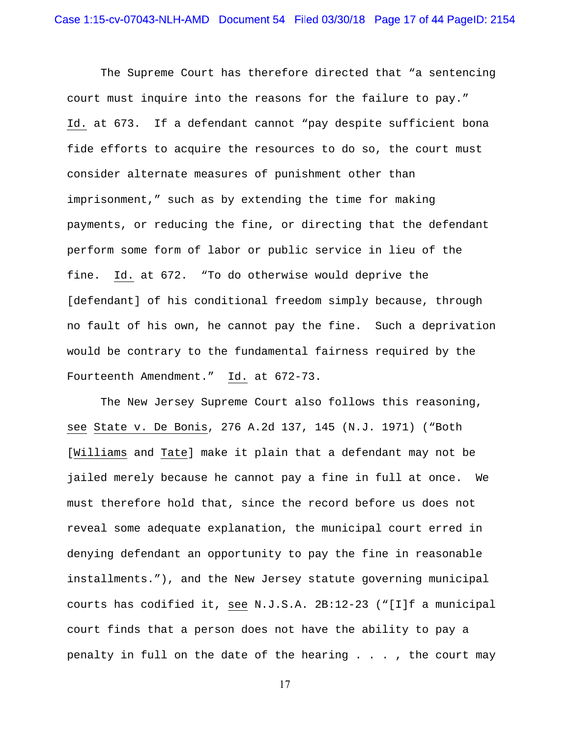The Supreme Court has therefore directed that "a sentencing court must inquire into the reasons for the failure to pay." Id. at 673. If a defendant cannot "pay despite sufficient bona fide efforts to acquire the resources to do so, the court must consider alternate measures of punishment other than imprisonment," such as by extending the time for making payments, or reducing the fine, or directing that the defendant perform some form of labor or public service in lieu of the fine. Id. at 672. "To do otherwise would deprive the [defendant] of his conditional freedom simply because, through no fault of his own, he cannot pay the fine. Such a deprivation would be contrary to the fundamental fairness required by the Fourteenth Amendment." Id. at 672-73.

 The New Jersey Supreme Court also follows this reasoning, see State v. De Bonis, 276 A.2d 137, 145 (N.J. 1971) ("Both [Williams and Tate] make it plain that a defendant may not be jailed merely because he cannot pay a fine in full at once. We must therefore hold that, since the record before us does not reveal some adequate explanation, the municipal court erred in denying defendant an opportunity to pay the fine in reasonable installments."), and the New Jersey statute governing municipal courts has codified it, see N.J.S.A. 2B:12-23 ("[I]f a municipal court finds that a person does not have the ability to pay a penalty in full on the date of the hearing . . . , the court may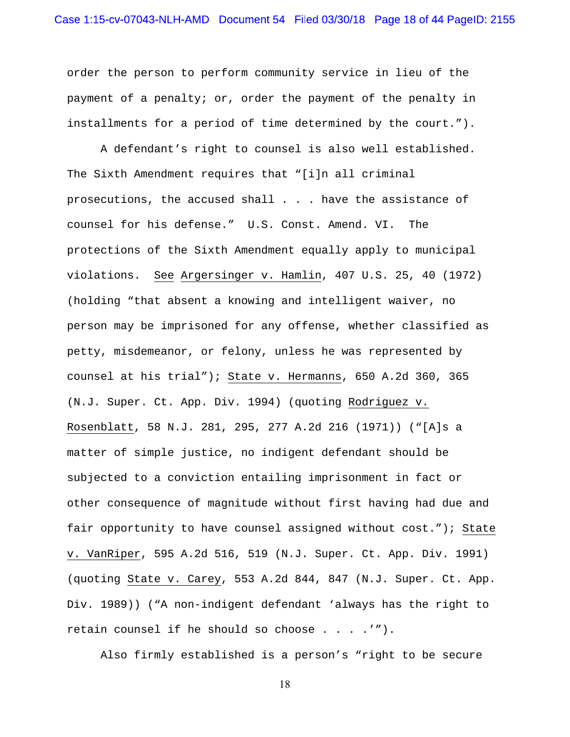order the person to perform community service in lieu of the payment of a penalty; or, order the payment of the penalty in installments for a period of time determined by the court.").

 A defendant's right to counsel is also well established. The Sixth Amendment requires that "[i]n all criminal prosecutions, the accused shall . . . have the assistance of counsel for his defense." U.S. Const. Amend. VI. The protections of the Sixth Amendment equally apply to municipal violations. See Argersinger v. Hamlin, 407 U.S. 25, 40 (1972) (holding "that absent a knowing and intelligent waiver, no person may be imprisoned for any offense, whether classified as petty, misdemeanor, or felony, unless he was represented by counsel at his trial"); State v. Hermanns, 650 A.2d 360, 365 (N.J. Super. Ct. App. Div. 1994) (quoting Rodriguez v. Rosenblatt, 58 N.J. 281, 295, 277 A.2d 216 (1971)) ("[A]s a matter of simple justice, no indigent defendant should be subjected to a conviction entailing imprisonment in fact or other consequence of magnitude without first having had due and fair opportunity to have counsel assigned without cost."); State v. VanRiper, 595 A.2d 516, 519 (N.J. Super. Ct. App. Div. 1991) (quoting State v. Carey, 553 A.2d 844, 847 (N.J. Super. Ct. App. Div. 1989)) ("A non-indigent defendant 'always has the right to retain counsel if he should so choose  $\ldots$  .'").

Also firmly established is a person's "right to be secure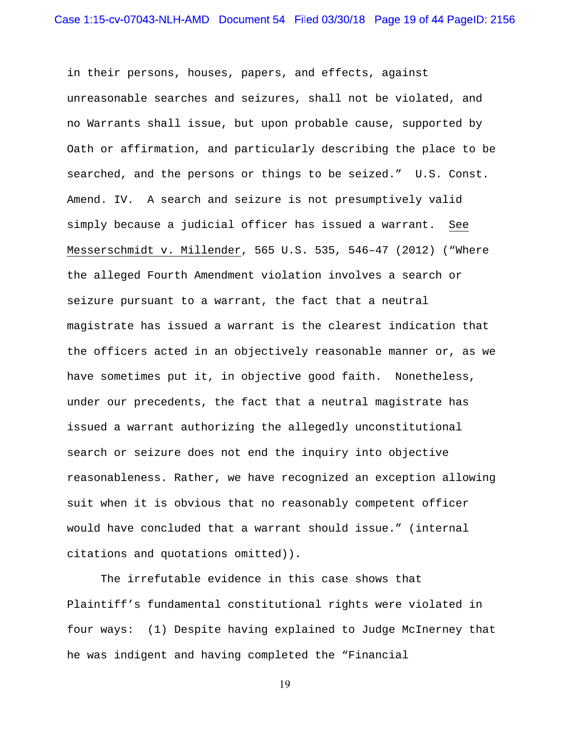in their persons, houses, papers, and effects, against unreasonable searches and seizures, shall not be violated, and no Warrants shall issue, but upon probable cause, supported by Oath or affirmation, and particularly describing the place to be searched, and the persons or things to be seized." U.S. Const. Amend. IV. A search and seizure is not presumptively valid simply because a judicial officer has issued a warrant. See Messerschmidt v. Millender, 565 U.S. 535, 546–47 (2012) ("Where the alleged Fourth Amendment violation involves a search or seizure pursuant to a warrant, the fact that a neutral magistrate has issued a warrant is the clearest indication that the officers acted in an objectively reasonable manner or, as we have sometimes put it, in objective good faith. Nonetheless, under our precedents, the fact that a neutral magistrate has issued a warrant authorizing the allegedly unconstitutional search or seizure does not end the inquiry into objective reasonableness. Rather, we have recognized an exception allowing suit when it is obvious that no reasonably competent officer would have concluded that a warrant should issue." (internal citations and quotations omitted)).

 The irrefutable evidence in this case shows that Plaintiff's fundamental constitutional rights were violated in four ways: (1) Despite having explained to Judge McInerney that he was indigent and having completed the "Financial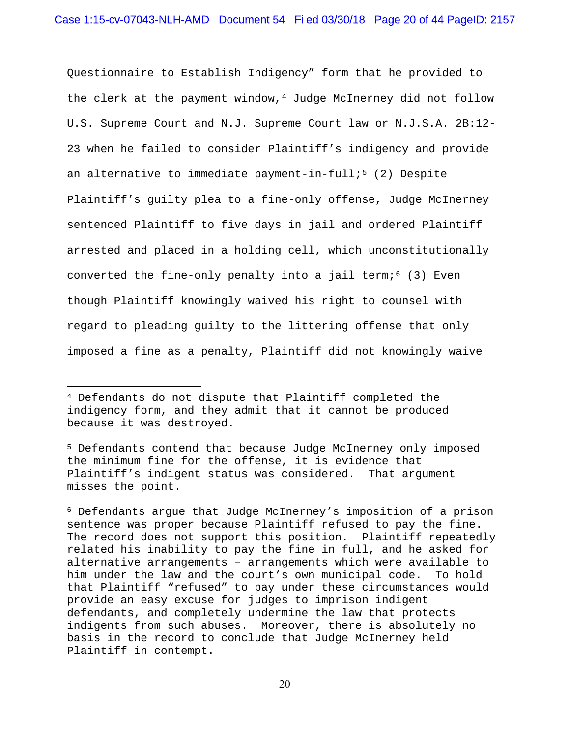Questionnaire to Establish Indigency" form that he provided to the clerk at the payment window,  $4$  Judge McInerney did not follow U.S. Supreme Court and N.J. Supreme Court law or N.J.S.A. 2B:12- 23 when he failed to consider Plaintiff's indigency and provide an alternative to immediate payment-in-full;<sup>5</sup> (2) Despite Plaintiff's guilty plea to a fine-only offense, Judge McInerney sentenced Plaintiff to five days in jail and ordered Plaintiff arrested and placed in a holding cell, which unconstitutionally converted the fine-only penalty into a jail term; $6$  (3) Even though Plaintiff knowingly waived his right to counsel with regard to pleading guilty to the littering offense that only imposed a fine as a penalty, Plaintiff did not knowingly waive

 $\overline{a}$ 

<sup>4</sup> Defendants do not dispute that Plaintiff completed the indigency form, and they admit that it cannot be produced because it was destroyed.

<sup>5</sup> Defendants contend that because Judge McInerney only imposed the minimum fine for the offense, it is evidence that Plaintiff's indigent status was considered. That argument misses the point.

<sup>6</sup> Defendants argue that Judge McInerney's imposition of a prison sentence was proper because Plaintiff refused to pay the fine. The record does not support this position. Plaintiff repeatedly related his inability to pay the fine in full, and he asked for alternative arrangements – arrangements which were available to him under the law and the court's own municipal code. To hold that Plaintiff "refused" to pay under these circumstances would provide an easy excuse for judges to imprison indigent defendants, and completely undermine the law that protects indigents from such abuses. Moreover, there is absolutely no basis in the record to conclude that Judge McInerney held Plaintiff in contempt.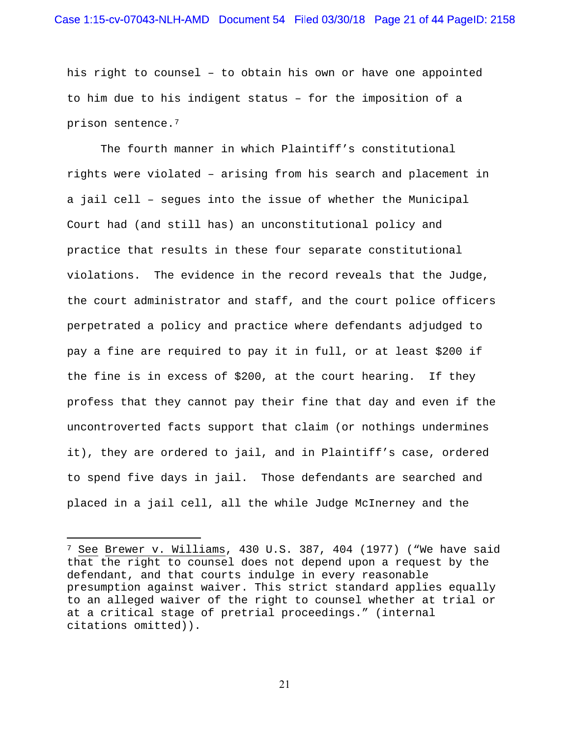his right to counsel – to obtain his own or have one appointed to him due to his indigent status – for the imposition of a prison sentence.7

 The fourth manner in which Plaintiff's constitutional rights were violated – arising from his search and placement in a jail cell – segues into the issue of whether the Municipal Court had (and still has) an unconstitutional policy and practice that results in these four separate constitutional violations. The evidence in the record reveals that the Judge, the court administrator and staff, and the court police officers perpetrated a policy and practice where defendants adjudged to pay a fine are required to pay it in full, or at least \$200 if the fine is in excess of \$200, at the court hearing. If they profess that they cannot pay their fine that day and even if the uncontroverted facts support that claim (or nothings undermines it), they are ordered to jail, and in Plaintiff's case, ordered to spend five days in jail. Those defendants are searched and placed in a jail cell, all the while Judge McInerney and the

 $\overline{a}$ 

<sup>7</sup> See Brewer v. Williams, 430 U.S. 387, 404 (1977) ("We have said that the right to counsel does not depend upon a request by the defendant, and that courts indulge in every reasonable presumption against waiver. This strict standard applies equally to an alleged waiver of the right to counsel whether at trial or at a critical stage of pretrial proceedings." (internal citations omitted)).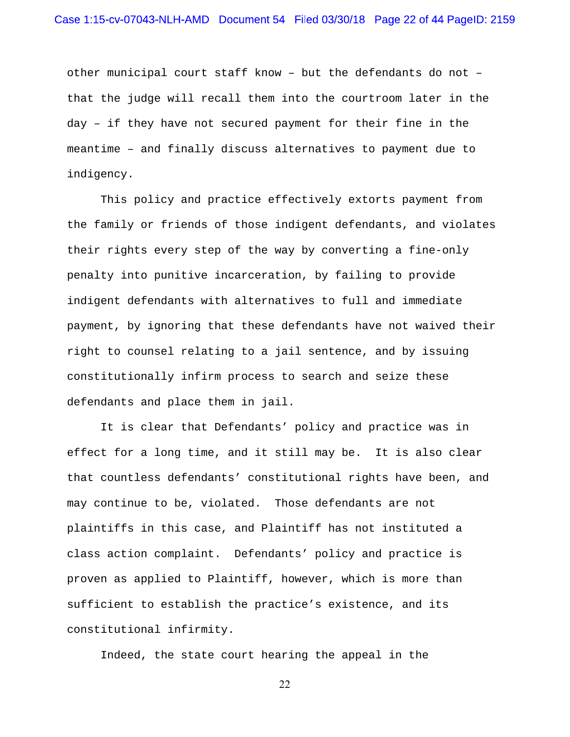other municipal court staff know – but the defendants do not – that the judge will recall them into the courtroom later in the day – if they have not secured payment for their fine in the meantime – and finally discuss alternatives to payment due to indigency.

 This policy and practice effectively extorts payment from the family or friends of those indigent defendants, and violates their rights every step of the way by converting a fine-only penalty into punitive incarceration, by failing to provide indigent defendants with alternatives to full and immediate payment, by ignoring that these defendants have not waived their right to counsel relating to a jail sentence, and by issuing constitutionally infirm process to search and seize these defendants and place them in jail.

 It is clear that Defendants' policy and practice was in effect for a long time, and it still may be. It is also clear that countless defendants' constitutional rights have been, and may continue to be, violated. Those defendants are not plaintiffs in this case, and Plaintiff has not instituted a class action complaint. Defendants' policy and practice is proven as applied to Plaintiff, however, which is more than sufficient to establish the practice's existence, and its constitutional infirmity.

Indeed, the state court hearing the appeal in the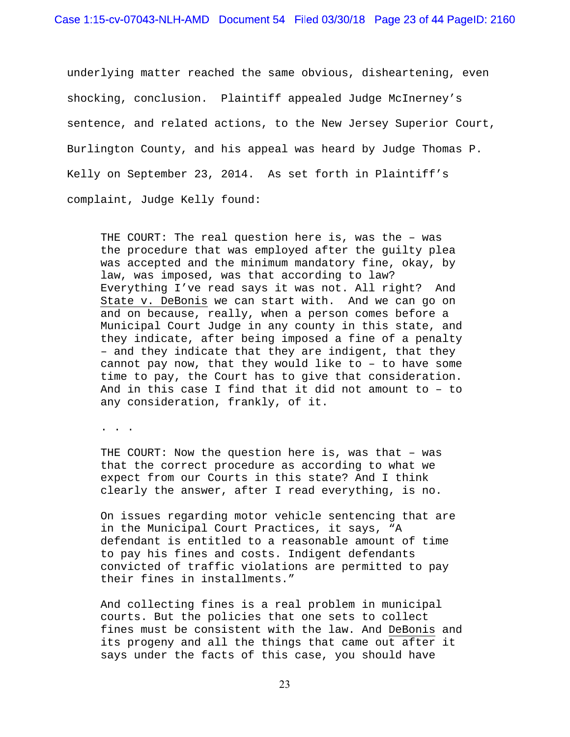underlying matter reached the same obvious, disheartening, even shocking, conclusion. Plaintiff appealed Judge McInerney's sentence, and related actions, to the New Jersey Superior Court, Burlington County, and his appeal was heard by Judge Thomas P. Kelly on September 23, 2014. As set forth in Plaintiff's complaint, Judge Kelly found:

THE COURT: The real question here is, was the – was the procedure that was employed after the guilty plea was accepted and the minimum mandatory fine, okay, by law, was imposed, was that according to law? Everything I've read says it was not. All right? And State v. DeBonis we can start with. And we can go on and on because, really, when a person comes before a Municipal Court Judge in any county in this state, and they indicate, after being imposed a fine of a penalty – and they indicate that they are indigent, that they cannot pay now, that they would like to – to have some time to pay, the Court has to give that consideration. And in this case I find that it did not amount to – to any consideration, frankly, of it.

. . .

THE COURT: Now the question here is, was that – was that the correct procedure as according to what we expect from our Courts in this state? And I think clearly the answer, after I read everything, is no.

On issues regarding motor vehicle sentencing that are in the Municipal Court Practices, it says, "A defendant is entitled to a reasonable amount of time to pay his fines and costs. Indigent defendants convicted of traffic violations are permitted to pay their fines in installments."

And collecting fines is a real problem in municipal courts. But the policies that one sets to collect fines must be consistent with the law. And DeBonis and its progeny and all the things that came out after it says under the facts of this case, you should have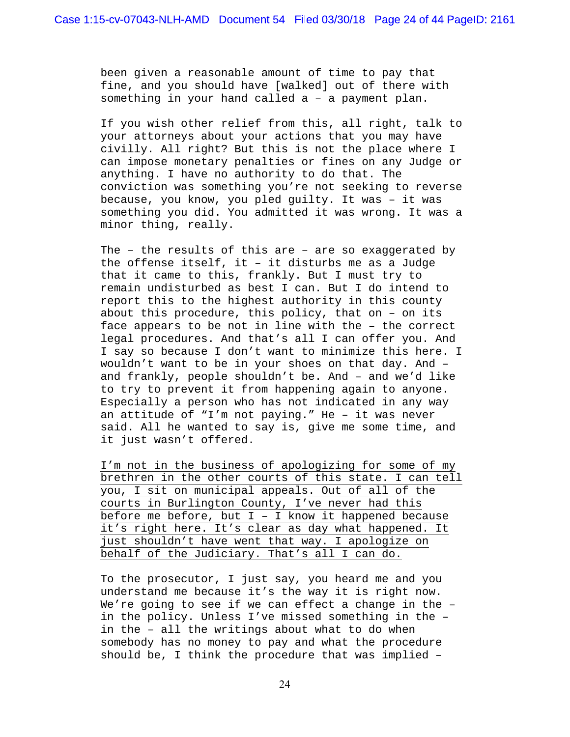been given a reasonable amount of time to pay that fine, and you should have [walked] out of there with something in your hand called a – a payment plan.

If you wish other relief from this, all right, talk to your attorneys about your actions that you may have civilly. All right? But this is not the place where I can impose monetary penalties or fines on any Judge or anything. I have no authority to do that. The conviction was something you're not seeking to reverse because, you know, you pled guilty. It was – it was something you did. You admitted it was wrong. It was a minor thing, really.

The – the results of this are – are so exaggerated by the offense itself, it – it disturbs me as a Judge that it came to this, frankly. But I must try to remain undisturbed as best I can. But I do intend to report this to the highest authority in this county about this procedure, this policy, that on – on its face appears to be not in line with the – the correct legal procedures. And that's all I can offer you. And I say so because I don't want to minimize this here. I wouldn't want to be in your shoes on that day. And – and frankly, people shouldn't be. And – and we'd like to try to prevent it from happening again to anyone. Especially a person who has not indicated in any way an attitude of "I'm not paying." He – it was never said. All he wanted to say is, give me some time, and it just wasn't offered.

I'm not in the business of apologizing for some of my brethren in the other courts of this state. I can tell you, I sit on municipal appeals. Out of all of the courts in Burlington County, I've never had this before me before, but I – I know it happened because it's right here. It's clear as day what happened. It just shouldn't have went that way. I apologize on behalf of the Judiciary. That's all I can do.

To the prosecutor, I just say, you heard me and you understand me because it's the way it is right now. We're going to see if we can effect a change in the – in the policy. Unless I've missed something in the – in the – all the writings about what to do when somebody has no money to pay and what the procedure should be, I think the procedure that was implied –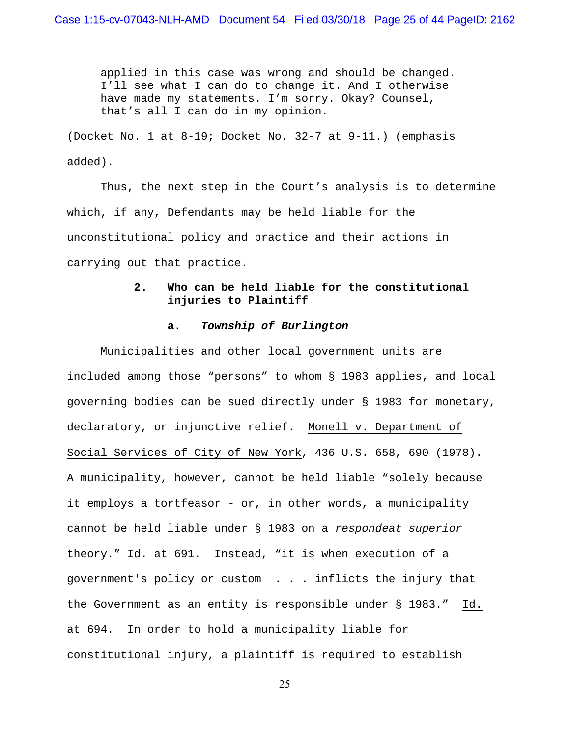applied in this case was wrong and should be changed. I'll see what I can do to change it. And I otherwise have made my statements. I'm sorry. Okay? Counsel, that's all I can do in my opinion.

(Docket No. 1 at 8-19; Docket No. 32-7 at 9-11.) (emphasis added).

Thus, the next step in the Court's analysis is to determine which, if any, Defendants may be held liable for the unconstitutional policy and practice and their actions in carrying out that practice.

# **2. Who can be held liable for the constitutional injuries to Plaintiff**

## **a.** *Township of Burlington*

 Municipalities and other local government units are included among those "persons" to whom § 1983 applies, and local governing bodies can be sued directly under § 1983 for monetary, declaratory, or injunctive relief. Monell v. Department of Social Services of City of New York, 436 U.S. 658, 690 (1978). A municipality, however, cannot be held liable "solely because it employs a tortfeasor - or, in other words, a municipality cannot be held liable under § 1983 on a *respondeat superior* theory." Id. at 691. Instead, "it is when execution of a government's policy or custom . . . inflicts the injury that the Government as an entity is responsible under § 1983." Id. at 694. In order to hold a municipality liable for constitutional injury, a plaintiff is required to establish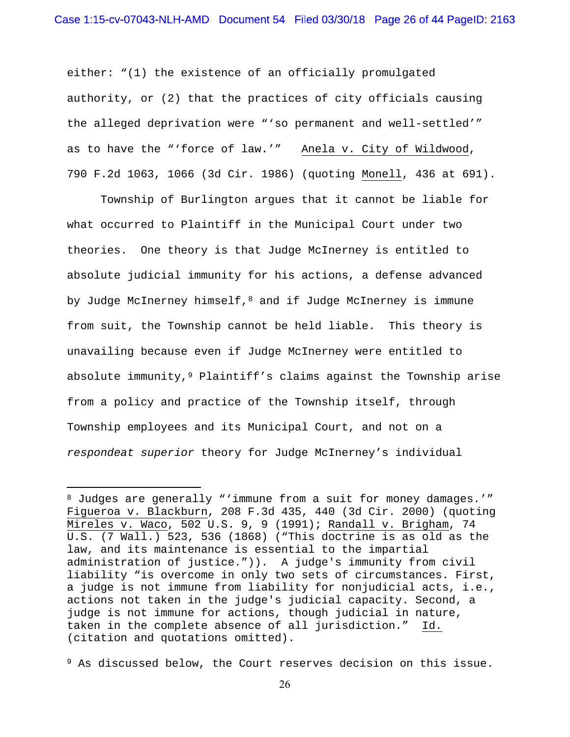either: "(1) the existence of an officially promulgated authority, or (2) that the practices of city officials causing the alleged deprivation were "'so permanent and well-settled'" as to have the "'force of law.'" Anela v. City of Wildwood, 790 F.2d 1063, 1066 (3d Cir. 1986) (quoting Monell, 436 at 691).

 Township of Burlington argues that it cannot be liable for what occurred to Plaintiff in the Municipal Court under two theories. One theory is that Judge McInerney is entitled to absolute judicial immunity for his actions, a defense advanced by Judge McInerney himself, $8$  and if Judge McInerney is immune from suit, the Township cannot be held liable. This theory is unavailing because even if Judge McInerney were entitled to absolute immunity, <sup>9</sup> Plaintiff's claims against the Township arise from a policy and practice of the Township itself, through Township employees and its Municipal Court, and not on a *respondeat superior* theory for Judge McInerney's individual

 $\overline{a}$ 

<sup>8</sup> Judges are generally "'immune from a suit for money damages.'" Figueroa v. Blackburn, 208 F.3d 435, 440 (3d Cir. 2000) (quoting Mireles v. Waco, 502 U.S. 9, 9 (1991); Randall v. Brigham, 74 U.S. (7 Wall.) 523, 536 (1868) ("This doctrine is as old as the law, and its maintenance is essential to the impartial administration of justice.")). A judge's immunity from civil liability "is overcome in only two sets of circumstances. First, a judge is not immune from liability for nonjudicial acts, i.e., actions not taken in the judge's judicial capacity. Second, a judge is not immune for actions, though judicial in nature, taken in the complete absence of all jurisdiction." Id. (citation and quotations omitted).

<sup>9</sup> As discussed below, the Court reserves decision on this issue.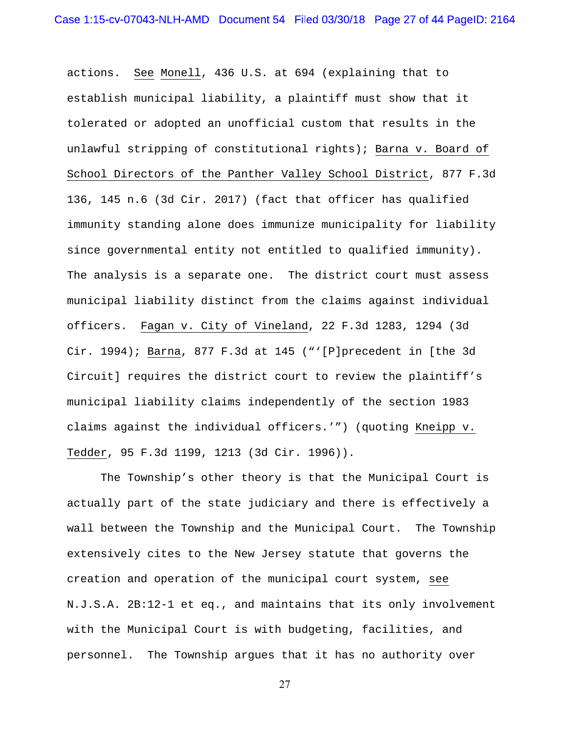actions. See Monell, 436 U.S. at 694 (explaining that to establish municipal liability, a plaintiff must show that it tolerated or adopted an unofficial custom that results in the unlawful stripping of constitutional rights); Barna v. Board of School Directors of the Panther Valley School District, 877 F.3d 136, 145 n.6 (3d Cir. 2017) (fact that officer has qualified immunity standing alone does immunize municipality for liability since governmental entity not entitled to qualified immunity). The analysis is a separate one. The district court must assess municipal liability distinct from the claims against individual officers. Fagan v. City of Vineland, 22 F.3d 1283, 1294 (3d Cir. 1994); Barna, 877 F.3d at 145 ("'[P]precedent in [the 3d Circuit] requires the district court to review the plaintiff's municipal liability claims independently of the section 1983 claims against the individual officers.'") (quoting Kneipp v. Tedder, 95 F.3d 1199, 1213 (3d Cir. 1996)).

 The Township's other theory is that the Municipal Court is actually part of the state judiciary and there is effectively a wall between the Township and the Municipal Court. The Township extensively cites to the New Jersey statute that governs the creation and operation of the municipal court system, see N.J.S.A. 2B:12-1 et eq., and maintains that its only involvement with the Municipal Court is with budgeting, facilities, and personnel. The Township argues that it has no authority over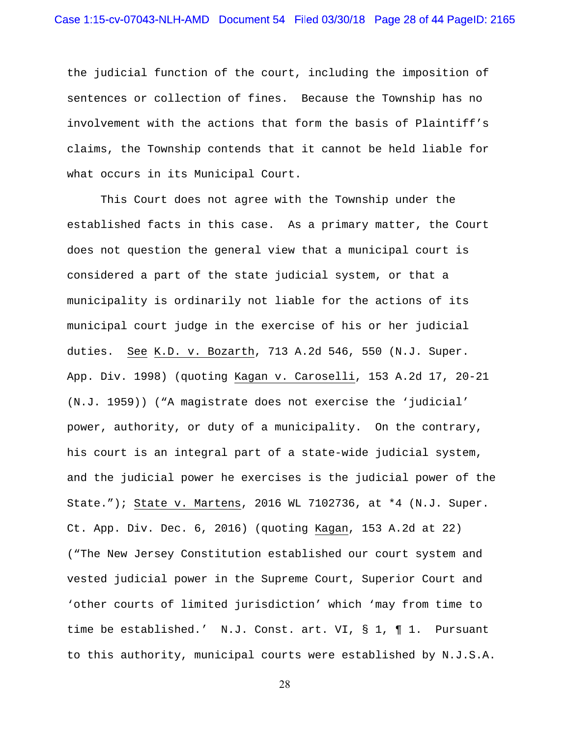the judicial function of the court, including the imposition of sentences or collection of fines. Because the Township has no involvement with the actions that form the basis of Plaintiff's claims, the Township contends that it cannot be held liable for what occurs in its Municipal Court.

 This Court does not agree with the Township under the established facts in this case. As a primary matter, the Court does not question the general view that a municipal court is considered a part of the state judicial system, or that a municipality is ordinarily not liable for the actions of its municipal court judge in the exercise of his or her judicial duties. See K.D. v. Bozarth, 713 A.2d 546, 550 (N.J. Super. App. Div. 1998) (quoting Kagan v. Caroselli, 153 A.2d 17, 20-21 (N.J. 1959)) ("A magistrate does not exercise the 'judicial' power, authority, or duty of a municipality. On the contrary, his court is an integral part of a state-wide judicial system, and the judicial power he exercises is the judicial power of the State."); State v. Martens, 2016 WL 7102736, at \*4 (N.J. Super. Ct. App. Div. Dec. 6, 2016) (quoting Kagan, 153 A.2d at 22) ("The New Jersey Constitution established our court system and vested judicial power in the Supreme Court, Superior Court and 'other courts of limited jurisdiction' which 'may from time to time be established.' N.J. Const. art. VI, § 1, ¶ 1. Pursuant to this authority, municipal courts were established by N.J.S.A.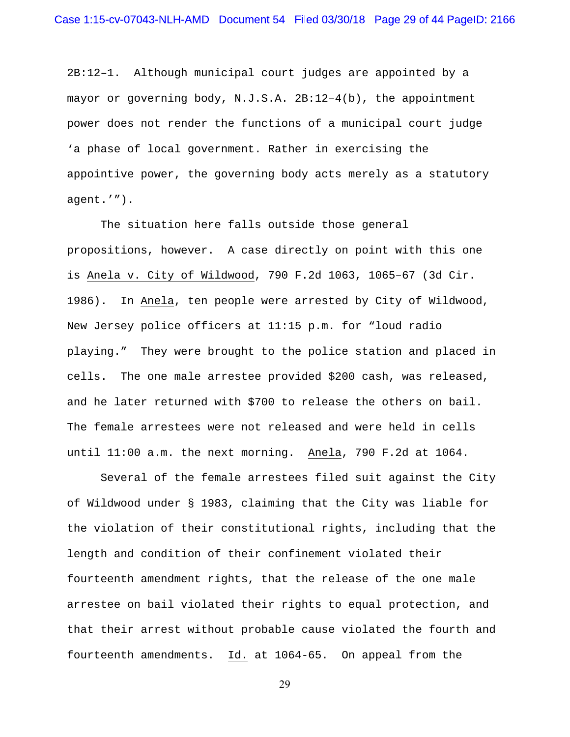2B:12–1. Although municipal court judges are appointed by a mayor or governing body, N.J.S.A. 2B:12–4(b), the appointment power does not render the functions of a municipal court judge 'a phase of local government. Rather in exercising the appointive power, the governing body acts merely as a statutory agent.'").

 The situation here falls outside those general propositions, however. A case directly on point with this one is Anela v. City of Wildwood, 790 F.2d 1063, 1065–67 (3d Cir. 1986). In Anela, ten people were arrested by City of Wildwood, New Jersey police officers at 11:15 p.m. for "loud radio playing." They were brought to the police station and placed in cells. The one male arrestee provided \$200 cash, was released, and he later returned with \$700 to release the others on bail. The female arrestees were not released and were held in cells until 11:00 a.m. the next morning. Anela, 790 F.2d at 1064.

 Several of the female arrestees filed suit against the City of Wildwood under § 1983, claiming that the City was liable for the violation of their constitutional rights, including that the length and condition of their confinement violated their fourteenth amendment rights, that the release of the one male arrestee on bail violated their rights to equal protection, and that their arrest without probable cause violated the fourth and fourteenth amendments. Id. at 1064-65. On appeal from the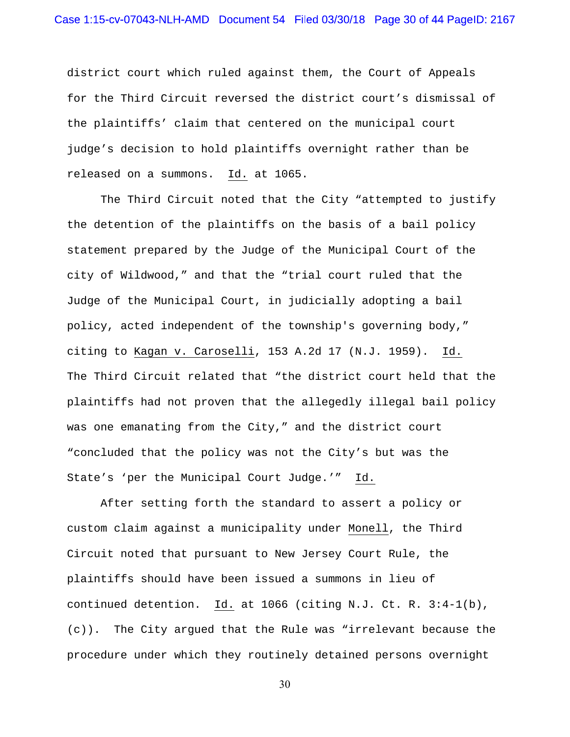district court which ruled against them, the Court of Appeals for the Third Circuit reversed the district court's dismissal of the plaintiffs' claim that centered on the municipal court judge's decision to hold plaintiffs overnight rather than be released on a summons. Id. at 1065.

 The Third Circuit noted that the City "attempted to justify the detention of the plaintiffs on the basis of a bail policy statement prepared by the Judge of the Municipal Court of the city of Wildwood," and that the "trial court ruled that the Judge of the Municipal Court, in judicially adopting a bail policy, acted independent of the township's governing body," citing to Kagan v. Caroselli, 153 A.2d 17 (N.J. 1959). Id. The Third Circuit related that "the district court held that the plaintiffs had not proven that the allegedly illegal bail policy was one emanating from the City," and the district court "concluded that the policy was not the City's but was the State's 'per the Municipal Court Judge.'" Id.

 After setting forth the standard to assert a policy or custom claim against a municipality under Monell, the Third Circuit noted that pursuant to New Jersey Court Rule, the plaintiffs should have been issued a summons in lieu of continued detention. Id. at 1066 (citing N.J. Ct. R. 3:4-1(b), (c)). The City argued that the Rule was "irrelevant because the procedure under which they routinely detained persons overnight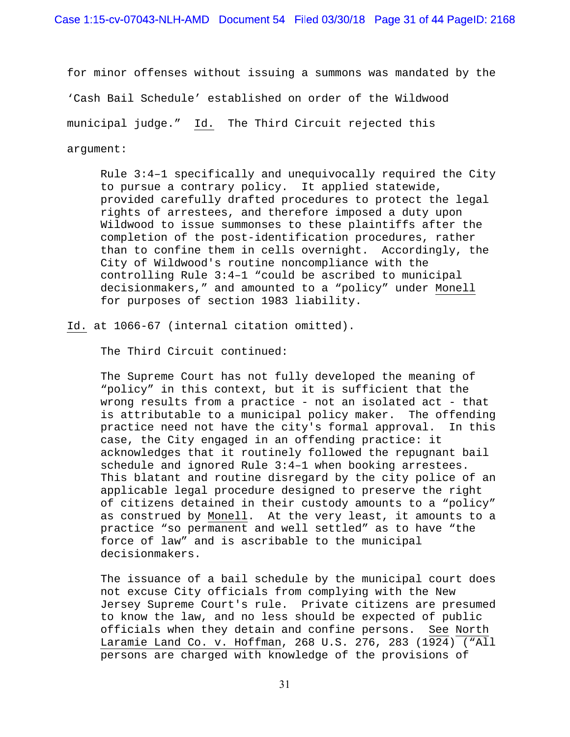for minor offenses without issuing a summons was mandated by the 'Cash Bail Schedule' established on order of the Wildwood municipal judge." Id. The Third Circuit rejected this argument:

Rule 3:4–1 specifically and unequivocally required the City to pursue a contrary policy. It applied statewide, provided carefully drafted procedures to protect the legal rights of arrestees, and therefore imposed a duty upon Wildwood to issue summonses to these plaintiffs after the completion of the post-identification procedures, rather than to confine them in cells overnight. Accordingly, the City of Wildwood's routine noncompliance with the controlling Rule 3:4–1 "could be ascribed to municipal decisionmakers," and amounted to a "policy" under Monell for purposes of section 1983 liability.

Id. at 1066-67 (internal citation omitted).

The Third Circuit continued:

The Supreme Court has not fully developed the meaning of "policy" in this context, but it is sufficient that the wrong results from a practice - not an isolated act - that is attributable to a municipal policy maker. The offending practice need not have the city's formal approval. In this case, the City engaged in an offending practice: it acknowledges that it routinely followed the repugnant bail schedule and ignored Rule 3:4–1 when booking arrestees. This blatant and routine disregard by the city police of an applicable legal procedure designed to preserve the right of citizens detained in their custody amounts to a "policy" as construed by Monell. At the very least, it amounts to a practice "so permanent and well settled" as to have "the force of law" and is ascribable to the municipal decisionmakers.

The issuance of a bail schedule by the municipal court does not excuse City officials from complying with the New Jersey Supreme Court's rule. Private citizens are presumed to know the law, and no less should be expected of public officials when they detain and confine persons. See North Laramie Land Co. v. Hoffman, 268 U.S. 276, 283 (1924) ("All persons are charged with knowledge of the provisions of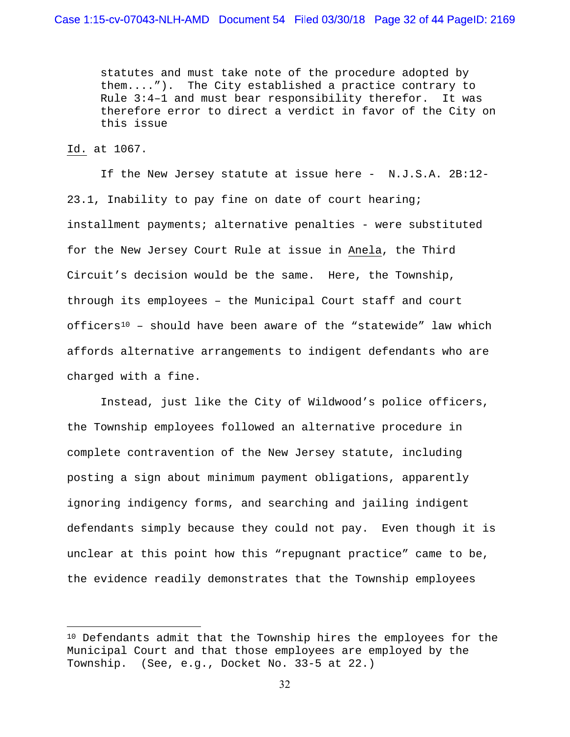statutes and must take note of the procedure adopted by them...."). The City established a practice contrary to Rule 3:4–1 and must bear responsibility therefor. It was therefore error to direct a verdict in favor of the City on this issue

## Id. at 1067.

 $\overline{a}$ 

 If the New Jersey statute at issue here - N.J.S.A. 2B:12- 23.1, Inability to pay fine on date of court hearing; installment payments; alternative penalties - were substituted for the New Jersey Court Rule at issue in Anela, the Third Circuit's decision would be the same. Here, the Township, through its employees – the Municipal Court staff and court officers<sup>10</sup> - should have been aware of the "statewide" law which affords alternative arrangements to indigent defendants who are charged with a fine.

Instead, just like the City of Wildwood's police officers, the Township employees followed an alternative procedure in complete contravention of the New Jersey statute, including posting a sign about minimum payment obligations, apparently ignoring indigency forms, and searching and jailing indigent defendants simply because they could not pay. Even though it is unclear at this point how this "repugnant practice" came to be, the evidence readily demonstrates that the Township employees

<sup>10</sup> Defendants admit that the Township hires the employees for the Municipal Court and that those employees are employed by the Township. (See, e.g., Docket No. 33-5 at 22.)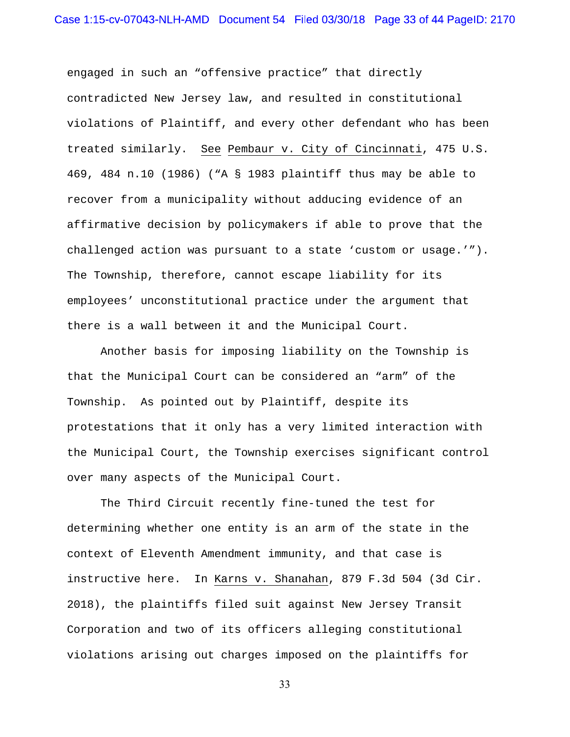engaged in such an "offensive practice" that directly contradicted New Jersey law, and resulted in constitutional violations of Plaintiff, and every other defendant who has been treated similarly. See Pembaur v. City of Cincinnati, 475 U.S. 469, 484 n.10 (1986) ("A § 1983 plaintiff thus may be able to recover from a municipality without adducing evidence of an affirmative decision by policymakers if able to prove that the challenged action was pursuant to a state 'custom or usage.'"). The Township, therefore, cannot escape liability for its employees' unconstitutional practice under the argument that there is a wall between it and the Municipal Court.

 Another basis for imposing liability on the Township is that the Municipal Court can be considered an "arm" of the Township. As pointed out by Plaintiff, despite its protestations that it only has a very limited interaction with the Municipal Court, the Township exercises significant control over many aspects of the Municipal Court.

 The Third Circuit recently fine-tuned the test for determining whether one entity is an arm of the state in the context of Eleventh Amendment immunity, and that case is instructive here. In Karns v. Shanahan, 879 F.3d 504 (3d Cir. 2018), the plaintiffs filed suit against New Jersey Transit Corporation and two of its officers alleging constitutional violations arising out charges imposed on the plaintiffs for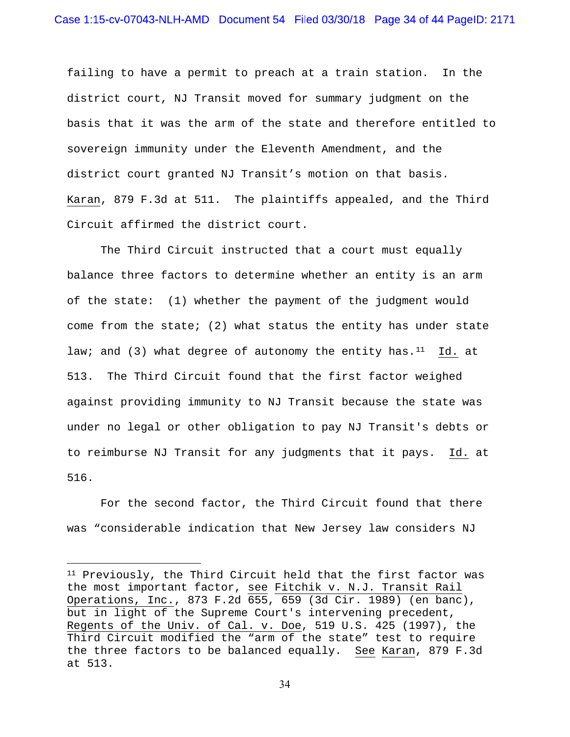failing to have a permit to preach at a train station. In the district court, NJ Transit moved for summary judgment on the basis that it was the arm of the state and therefore entitled to sovereign immunity under the Eleventh Amendment, and the district court granted NJ Transit's motion on that basis. Karan, 879 F.3d at 511. The plaintiffs appealed, and the Third Circuit affirmed the district court.

 The Third Circuit instructed that a court must equally balance three factors to determine whether an entity is an arm of the state: (1) whether the payment of the judgment would come from the state; (2) what status the entity has under state law; and (3) what degree of autonomy the entity has. $11$  Id. at 513. The Third Circuit found that the first factor weighed against providing immunity to NJ Transit because the state was under no legal or other obligation to pay NJ Transit's debts or to reimburse NJ Transit for any judgments that it pays. Id. at 516.

 For the second factor, the Third Circuit found that there was "considerable indication that New Jersey law considers NJ

 $\overline{a}$ 

<sup>&</sup>lt;sup>11</sup> Previously, the Third Circuit held that the first factor was the most important factor, see Fitchik v. N.J. Transit Rail Operations, Inc., 873 F.2d 655, 659 (3d Cir. 1989) (en banc), but in light of the Supreme Court's intervening precedent, Regents of the Univ. of Cal. v. Doe, 519 U.S. 425 (1997), the Third Circuit modified the "arm of the state" test to require the three factors to be balanced equally. See Karan, 879 F.3d at 513.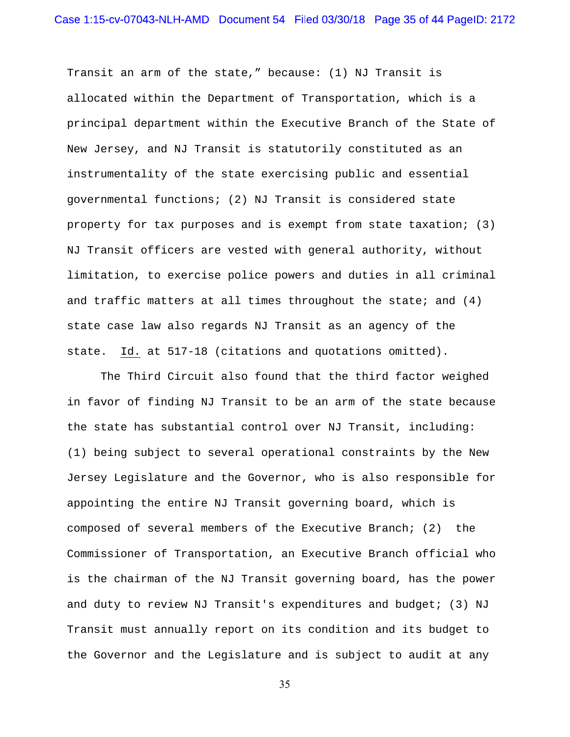Transit an arm of the state," because: (1) NJ Transit is allocated within the Department of Transportation, which is a principal department within the Executive Branch of the State of New Jersey, and NJ Transit is statutorily constituted as an instrumentality of the state exercising public and essential governmental functions; (2) NJ Transit is considered state property for tax purposes and is exempt from state taxation; (3) NJ Transit officers are vested with general authority, without limitation, to exercise police powers and duties in all criminal and traffic matters at all times throughout the state; and  $(4)$ state case law also regards NJ Transit as an agency of the state. Id. at 517-18 (citations and quotations omitted).

 The Third Circuit also found that the third factor weighed in favor of finding NJ Transit to be an arm of the state because the state has substantial control over NJ Transit, including: (1) being subject to several operational constraints by the New Jersey Legislature and the Governor, who is also responsible for appointing the entire NJ Transit governing board, which is composed of several members of the Executive Branch; (2) the Commissioner of Transportation, an Executive Branch official who is the chairman of the NJ Transit governing board, has the power and duty to review NJ Transit's expenditures and budget; (3) NJ Transit must annually report on its condition and its budget to the Governor and the Legislature and is subject to audit at any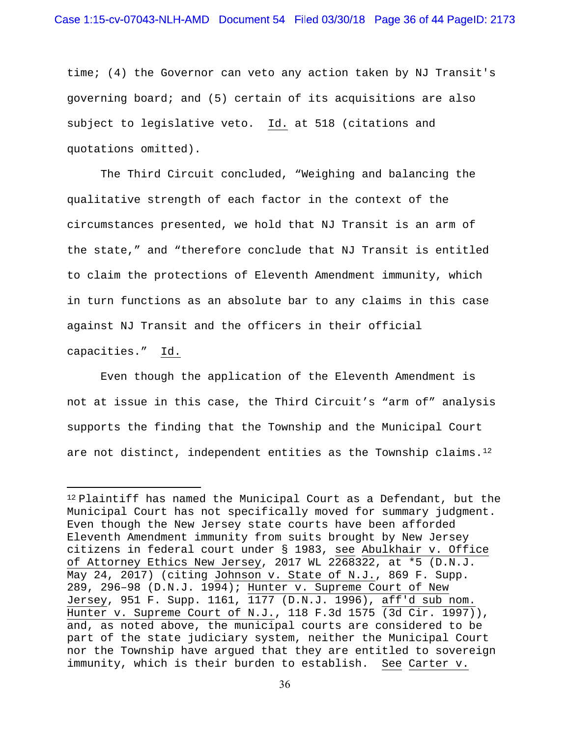time; (4) the Governor can veto any action taken by NJ Transit's governing board; and (5) certain of its acquisitions are also subject to legislative veto. Id. at 518 (citations and quotations omitted).

 The Third Circuit concluded, "Weighing and balancing the qualitative strength of each factor in the context of the circumstances presented, we hold that NJ Transit is an arm of the state," and "therefore conclude that NJ Transit is entitled to claim the protections of Eleventh Amendment immunity, which in turn functions as an absolute bar to any claims in this case against NJ Transit and the officers in their official

capacities." Id.

 $\overline{a}$ 

 Even though the application of the Eleventh Amendment is not at issue in this case, the Third Circuit's "arm of" analysis supports the finding that the Township and the Municipal Court are not distinct, independent entities as the Township claims.<sup>12</sup>

<sup>12</sup> Plaintiff has named the Municipal Court as a Defendant, but the Municipal Court has not specifically moved for summary judgment. Even though the New Jersey state courts have been afforded Eleventh Amendment immunity from suits brought by New Jersey citizens in federal court under § 1983, see Abulkhair v. Office of Attorney Ethics New Jersey, 2017 WL 2268322, at \*5 (D.N.J. May 24, 2017) (citing Johnson v. State of N.J., 869 F. Supp. 289, 296–98 (D.N.J. 1994); Hunter v. Supreme Court of New Jersey, 951 F. Supp. 1161, 1177 (D.N.J. 1996), aff'd sub nom. Hunter v. Supreme Court of N.J., 118 F.3d 1575 (3d Cir. 1997)), and, as noted above, the municipal courts are considered to be part of the state judiciary system, neither the Municipal Court nor the Township have argued that they are entitled to sovereign immunity, which is their burden to establish. See Carter v.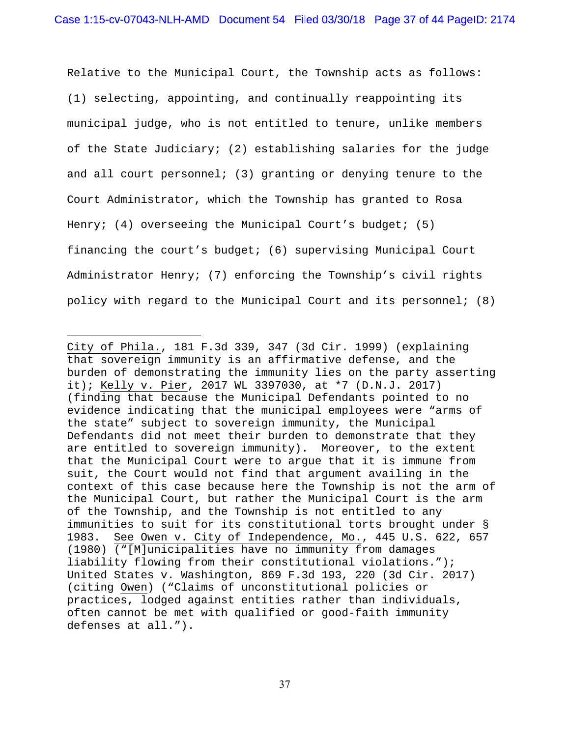Relative to the Municipal Court, the Township acts as follows: (1) selecting, appointing, and continually reappointing its municipal judge, who is not entitled to tenure, unlike members of the State Judiciary; (2) establishing salaries for the judge and all court personnel; (3) granting or denying tenure to the Court Administrator, which the Township has granted to Rosa Henry; (4) overseeing the Municipal Court's budget; (5) financing the court's budget; (6) supervising Municipal Court Administrator Henry; (7) enforcing the Township's civil rights policy with regard to the Municipal Court and its personnel; (8)

 $\overline{a}$ 

City of Phila., 181 F.3d 339, 347 (3d Cir. 1999) (explaining that sovereign immunity is an affirmative defense, and the burden of demonstrating the immunity lies on the party asserting it); Kelly v. Pier, 2017 WL 3397030, at \*7 (D.N.J. 2017) (finding that because the Municipal Defendants pointed to no evidence indicating that the municipal employees were "arms of the state" subject to sovereign immunity, the Municipal Defendants did not meet their burden to demonstrate that they are entitled to sovereign immunity). Moreover, to the extent that the Municipal Court were to argue that it is immune from suit, the Court would not find that argument availing in the context of this case because here the Township is not the arm of the Municipal Court, but rather the Municipal Court is the arm of the Township, and the Township is not entitled to any immunities to suit for its constitutional torts brought under § 1983. See Owen v. City of Independence, Mo., 445 U.S. 622, 657 (1980) ("[M]unicipalities have no immunity from damages liability flowing from their constitutional violations."); United States v. Washington, 869 F.3d 193, 220 (3d Cir. 2017) (citing Owen) ("Claims of unconstitutional policies or practices, lodged against entities rather than individuals, often cannot be met with qualified or good-faith immunity defenses at all.").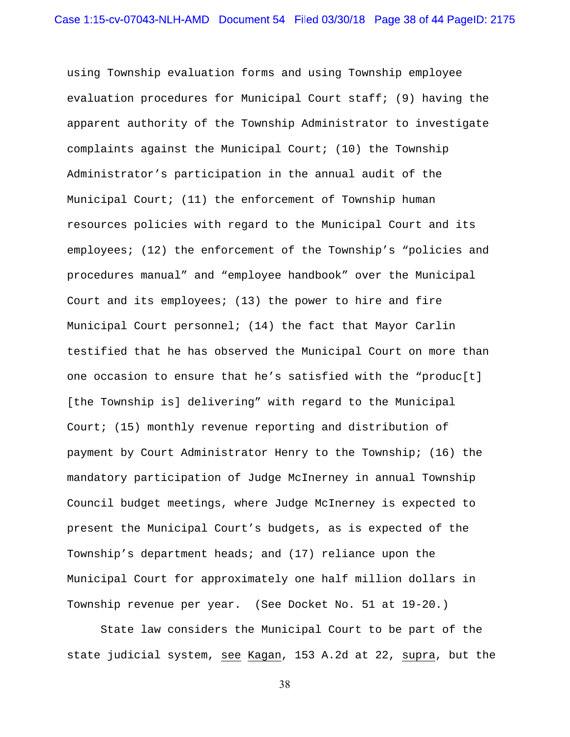using Township evaluation forms and using Township employee evaluation procedures for Municipal Court staff; (9) having the apparent authority of the Township Administrator to investigate complaints against the Municipal Court; (10) the Township Administrator's participation in the annual audit of the Municipal Court; (11) the enforcement of Township human resources policies with regard to the Municipal Court and its employees; (12) the enforcement of the Township's "policies and procedures manual" and "employee handbook" over the Municipal Court and its employees; (13) the power to hire and fire Municipal Court personnel; (14) the fact that Mayor Carlin testified that he has observed the Municipal Court on more than one occasion to ensure that he's satisfied with the "produc[t] [the Township is] delivering" with regard to the Municipal Court; (15) monthly revenue reporting and distribution of payment by Court Administrator Henry to the Township; (16) the mandatory participation of Judge McInerney in annual Township Council budget meetings, where Judge McInerney is expected to present the Municipal Court's budgets, as is expected of the Township's department heads; and (17) reliance upon the Municipal Court for approximately one half million dollars in Township revenue per year. (See Docket No. 51 at 19-20.)

 State law considers the Municipal Court to be part of the state judicial system, see Kagan, 153 A.2d at 22, supra, but the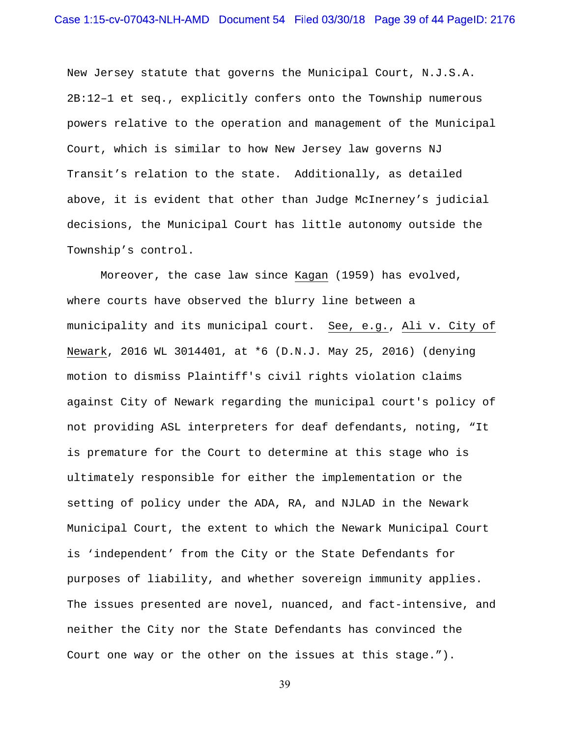New Jersey statute that governs the Municipal Court, N.J.S.A. 2B:12–1 et seq., explicitly confers onto the Township numerous powers relative to the operation and management of the Municipal Court, which is similar to how New Jersey law governs NJ Transit's relation to the state. Additionally, as detailed above, it is evident that other than Judge McInerney's judicial decisions, the Municipal Court has little autonomy outside the Township's control.

Moreover, the case law since Kagan (1959) has evolved, where courts have observed the blurry line between a municipality and its municipal court. See, e.g., Ali v. City of Newark, 2016 WL 3014401, at \*6 (D.N.J. May 25, 2016) (denying motion to dismiss Plaintiff's civil rights violation claims against City of Newark regarding the municipal court's policy of not providing ASL interpreters for deaf defendants, noting, "It is premature for the Court to determine at this stage who is ultimately responsible for either the implementation or the setting of policy under the ADA, RA, and NJLAD in the Newark Municipal Court, the extent to which the Newark Municipal Court is 'independent' from the City or the State Defendants for purposes of liability, and whether sovereign immunity applies. The issues presented are novel, nuanced, and fact-intensive, and neither the City nor the State Defendants has convinced the Court one way or the other on the issues at this stage.").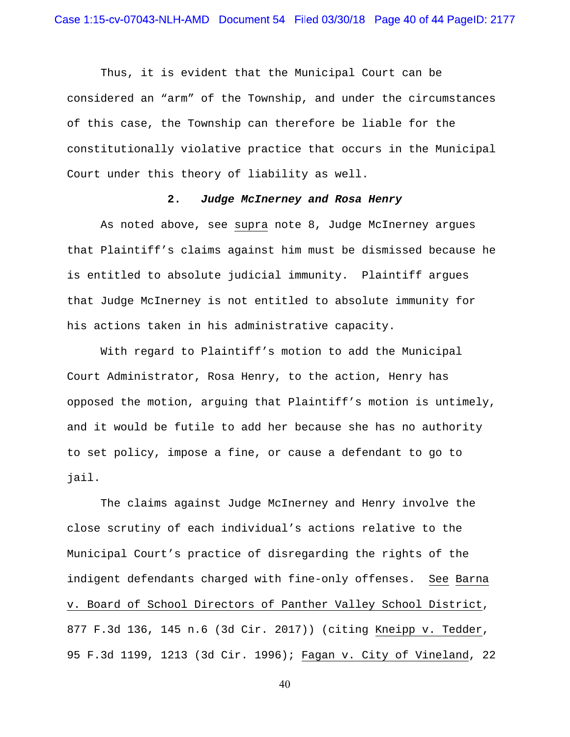Thus, it is evident that the Municipal Court can be considered an "arm" of the Township, and under the circumstances of this case, the Township can therefore be liable for the constitutionally violative practice that occurs in the Municipal Court under this theory of liability as well.

## **2.** *Judge McInerney and Rosa Henry*

As noted above, see supra note 8, Judge McInerney argues that Plaintiff's claims against him must be dismissed because he is entitled to absolute judicial immunity. Plaintiff argues that Judge McInerney is not entitled to absolute immunity for his actions taken in his administrative capacity.

With regard to Plaintiff's motion to add the Municipal Court Administrator, Rosa Henry, to the action, Henry has opposed the motion, arguing that Plaintiff's motion is untimely, and it would be futile to add her because she has no authority to set policy, impose a fine, or cause a defendant to go to jail.

 The claims against Judge McInerney and Henry involve the close scrutiny of each individual's actions relative to the Municipal Court's practice of disregarding the rights of the indigent defendants charged with fine-only offenses. See Barna v. Board of School Directors of Panther Valley School District, 877 F.3d 136, 145 n.6 (3d Cir. 2017)) (citing Kneipp v. Tedder, 95 F.3d 1199, 1213 (3d Cir. 1996); Fagan v. City of Vineland, 22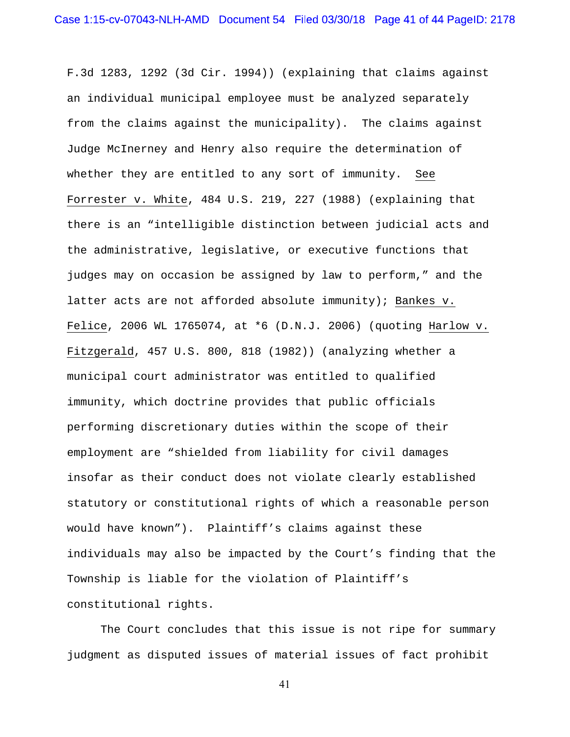F.3d 1283, 1292 (3d Cir. 1994)) (explaining that claims against an individual municipal employee must be analyzed separately from the claims against the municipality). The claims against Judge McInerney and Henry also require the determination of whether they are entitled to any sort of immunity. See Forrester v. White, 484 U.S. 219, 227 (1988) (explaining that there is an "intelligible distinction between judicial acts and the administrative, legislative, or executive functions that judges may on occasion be assigned by law to perform," and the latter acts are not afforded absolute immunity); Bankes v. Felice, 2006 WL 1765074, at \*6 (D.N.J. 2006) (quoting Harlow v. Fitzgerald, 457 U.S. 800, 818 (1982)) (analyzing whether a municipal court administrator was entitled to qualified immunity, which doctrine provides that public officials performing discretionary duties within the scope of their employment are "shielded from liability for civil damages insofar as their conduct does not violate clearly established statutory or constitutional rights of which a reasonable person would have known"). Plaintiff's claims against these individuals may also be impacted by the Court's finding that the Township is liable for the violation of Plaintiff's constitutional rights.

 The Court concludes that this issue is not ripe for summary judgment as disputed issues of material issues of fact prohibit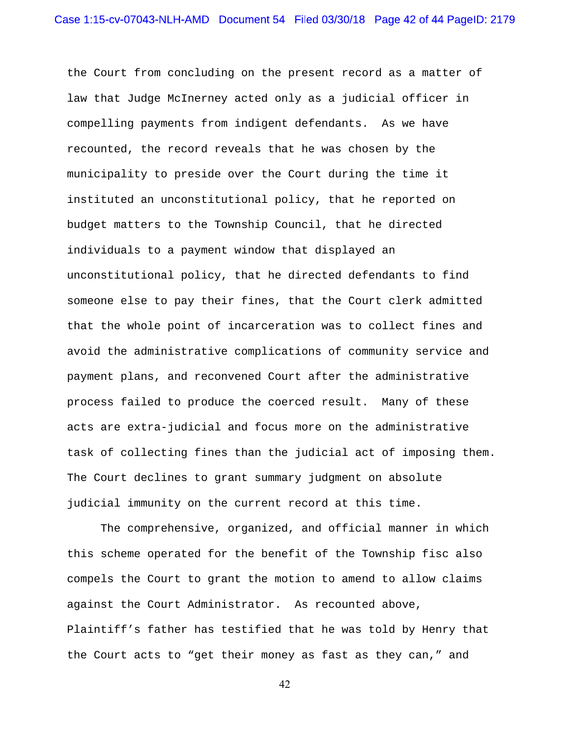the Court from concluding on the present record as a matter of law that Judge McInerney acted only as a judicial officer in compelling payments from indigent defendants. As we have recounted, the record reveals that he was chosen by the municipality to preside over the Court during the time it instituted an unconstitutional policy, that he reported on budget matters to the Township Council, that he directed individuals to a payment window that displayed an unconstitutional policy, that he directed defendants to find someone else to pay their fines, that the Court clerk admitted that the whole point of incarceration was to collect fines and avoid the administrative complications of community service and payment plans, and reconvened Court after the administrative process failed to produce the coerced result. Many of these acts are extra-judicial and focus more on the administrative task of collecting fines than the judicial act of imposing them. The Court declines to grant summary judgment on absolute judicial immunity on the current record at this time.

The comprehensive, organized, and official manner in which this scheme operated for the benefit of the Township fisc also compels the Court to grant the motion to amend to allow claims against the Court Administrator. As recounted above, Plaintiff's father has testified that he was told by Henry that the Court acts to "get their money as fast as they can," and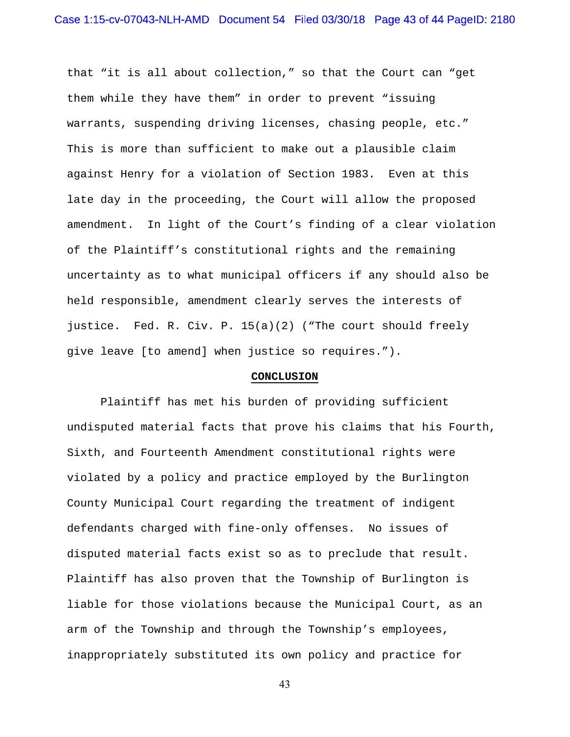that "it is all about collection," so that the Court can "get them while they have them" in order to prevent "issuing warrants, suspending driving licenses, chasing people, etc." This is more than sufficient to make out a plausible claim against Henry for a violation of Section 1983. Even at this late day in the proceeding, the Court will allow the proposed amendment. In light of the Court's finding of a clear violation of the Plaintiff's constitutional rights and the remaining uncertainty as to what municipal officers if any should also be held responsible, amendment clearly serves the interests of justice. Fed. R. Civ. P. 15(a)(2) ("The court should freely give leave [to amend] when justice so requires.").

#### **CONCLUSION**

 Plaintiff has met his burden of providing sufficient undisputed material facts that prove his claims that his Fourth, Sixth, and Fourteenth Amendment constitutional rights were violated by a policy and practice employed by the Burlington County Municipal Court regarding the treatment of indigent defendants charged with fine-only offenses. No issues of disputed material facts exist so as to preclude that result. Plaintiff has also proven that the Township of Burlington is liable for those violations because the Municipal Court, as an arm of the Township and through the Township's employees, inappropriately substituted its own policy and practice for